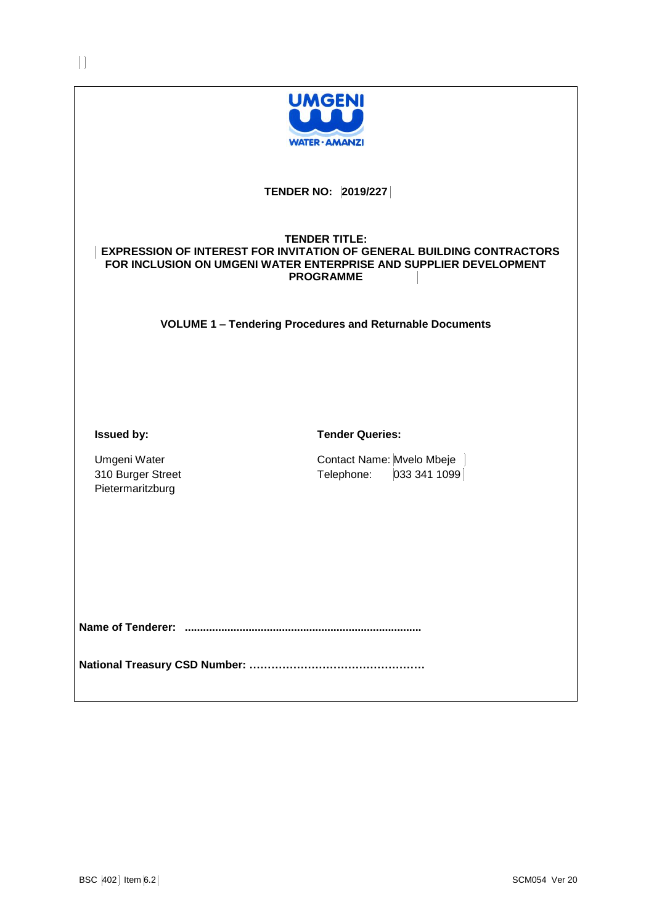

# **TENDER NO: 2019/227**

# **TENDER TITLE: EXPRESSION OF INTEREST FOR INVITATION OF GENERAL BUILDING CONTRACTORS FOR INCLUSION ON UMGENI WATER ENTERPRISE AND SUPPLIER DEVELOPMENT PROGRAMME**

**VOLUME 1 – Tendering Procedures and Returnable Documents**

**Issued by:**

**Tender Queries:**

Umgeni Water 310 Burger Street Pietermaritzburg

Contact Name: Mvelo Mbeje Telephone: 033 341 1099

**Name of Tenderer: ..............................................................................**

**National Treasury CSD Number: …………………………………………**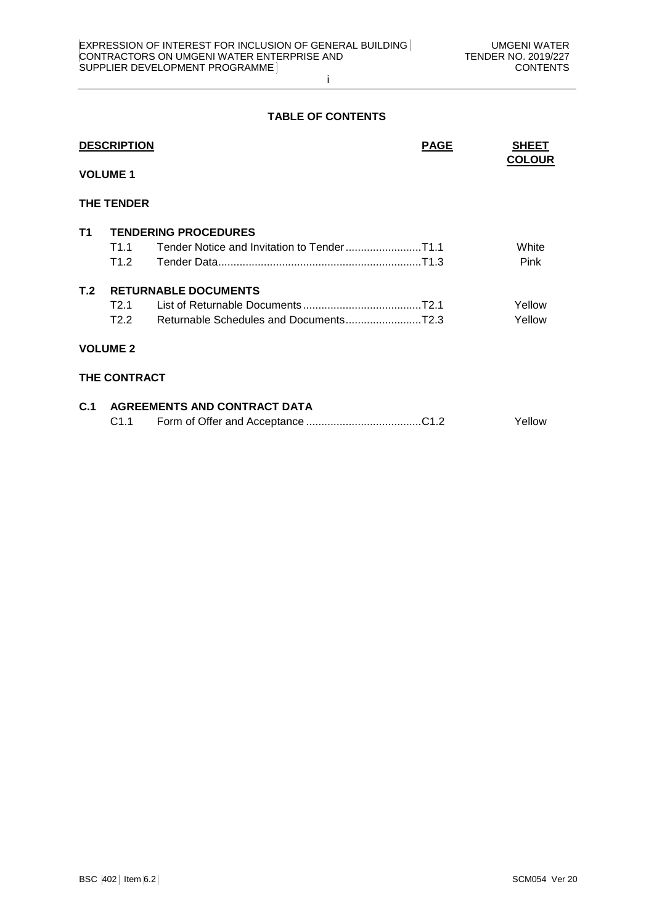# **TABLE OF CONTENTS**

|                 | <b>DESCRIPTION</b>  |                                         | <b>PAGE</b> | <b>SHEET</b><br><b>COLOUR</b> |
|-----------------|---------------------|-----------------------------------------|-------------|-------------------------------|
| <b>VOLUME 1</b> |                     |                                         |             |                               |
|                 | <b>THE TENDER</b>   |                                         |             |                               |
| T1              |                     | <b>TENDERING PROCEDURES</b>             |             |                               |
|                 | T1 1                |                                         |             | White                         |
|                 | T1.2                |                                         |             | <b>Pink</b>                   |
| T.2             |                     | <b>RETURNABLE DOCUMENTS</b>             |             |                               |
|                 | T2.1                |                                         |             | Yellow                        |
|                 | T2.2                |                                         |             | Yellow                        |
|                 | <b>VOLUME 2</b>     |                                         |             |                               |
|                 | <b>THE CONTRACT</b> |                                         |             |                               |
|                 |                     | <b>C.1 AGREEMENTS AND CONTRACT DATA</b> |             |                               |

| C1.1 |  |  | Yellow |
|------|--|--|--------|
|------|--|--|--------|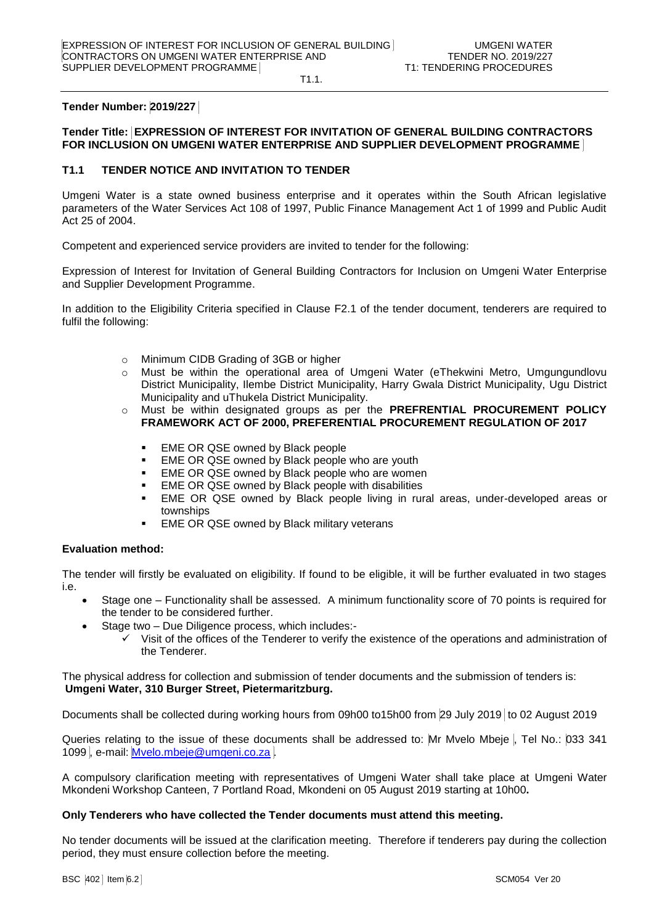T1.1.

### **Tender Number: 2019/227**

# **Tender Title: EXPRESSION OF INTEREST FOR INVITATION OF GENERAL BUILDING CONTRACTORS FOR INCLUSION ON UMGENI WATER ENTERPRISE AND SUPPLIER DEVELOPMENT PROGRAMME**

### **T1.1 TENDER NOTICE AND INVITATION TO TENDER**

Umgeni Water is a state owned business enterprise and it operates within the South African legislative parameters of the Water Services Act 108 of 1997, Public Finance Management Act 1 of 1999 and Public Audit Act 25 of 2004.

Competent and experienced service providers are invited to tender for the following:

Expression of Interest for Invitation of General Building Contractors for Inclusion on Umgeni Water Enterprise and Supplier Development Programme.

In addition to the Eligibility Criteria specified in Clause F2.1 of the tender document, tenderers are required to fulfil the following:

- o Minimum CIDB Grading of 3GB or higher
- o Must be within the operational area of Umgeni Water (eThekwini Metro, Umgungundlovu District Municipality, Ilembe District Municipality, Harry Gwala District Municipality, Ugu District Municipality and uThukela District Municipality.
- o Must be within designated groups as per the **PREFRENTIAL PROCUREMENT POLICY FRAMEWORK ACT OF 2000, PREFERENTIAL PROCUREMENT REGULATION OF 2017**
	- **EME OR QSE owned by Black people**
	- **EME OR QSE owned by Black people who are youth**
	- EME OR QSE owned by Black people who are women
	- EME OR QSE owned by Black people with disabilities
	- EME OR QSE owned by Black people living in rural areas, under-developed areas or townships
	- **EME OR QSE owned by Black military veterans**

# **Evaluation method:**

The tender will firstly be evaluated on eligibility. If found to be eligible, it will be further evaluated in two stages i.e.

- Stage one Functionality shall be assessed. A minimum functionality score of 70 points is required for the tender to be considered further.
- Stage two Due Diligence process, which includes:-
	- Visit of the offices of the Tenderer to verify the existence of the operations and administration of the Tenderer.

The physical address for collection and submission of tender documents and the submission of tenders is: **Umgeni Water, 310 Burger Street, Pietermaritzburg.**

Documents shall be collected during working hours from 09h00 to15h00 from 29 July 2019 to 02 August 2019

Queries relating to the issue of these documents shall be addressed to: Mr Mvelo Mbeje , Tel No.: 033 341 1099, e-mail: Myelo.mbeje@umgeni.co.za

A compulsory clarification meeting with representatives of Umgeni Water shall take place at Umgeni Water Mkondeni Workshop Canteen, 7 Portland Road, Mkondeni on 05 August 2019 starting at 10h00**.**

### **Only Tenderers who have collected the Tender documents must attend this meeting.**

No tender documents will be issued at the clarification meeting. Therefore if tenderers pay during the collection period, they must ensure collection before the meeting.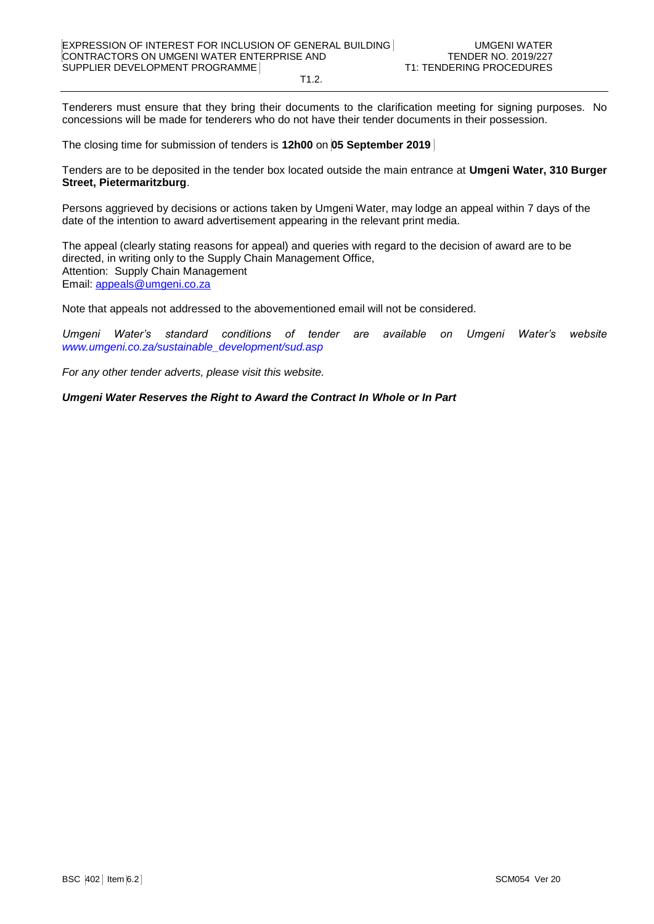Tenderers must ensure that they bring their documents to the clarification meeting for signing purposes. No concessions will be made for tenderers who do not have their tender documents in their possession.

The closing time for submission of tenders is **12h00** on **05 September 2019** 

Tenders are to be deposited in the tender box located outside the main entrance at **Umgeni Water, 310 Burger Street, Pietermaritzburg**.

Persons aggrieved by decisions or actions taken by Umgeni Water, may lodge an appeal within 7 days of the date of the intention to award advertisement appearing in the relevant print media.

The appeal (clearly stating reasons for appeal) and queries with regard to the decision of award are to be directed, in writing only to the Supply Chain Management Office, Attention: Supply Chain Management Email: [appeals@umgeni.co.za](mailto:appeals@umgeni.co.za)

Note that appeals not addressed to the abovementioned email will not be considered.

*Umgeni Water's standard conditions of tender are available on Umgeni Water's website [www.umgeni.co.za/sustainable\\_development/sud.asp](http://www.umgeni.co.za/sustainable_development/sud.asp)*

*For any other tender adverts, please visit this website.*

*Umgeni Water Reserves the Right to Award the Contract In Whole or In Part*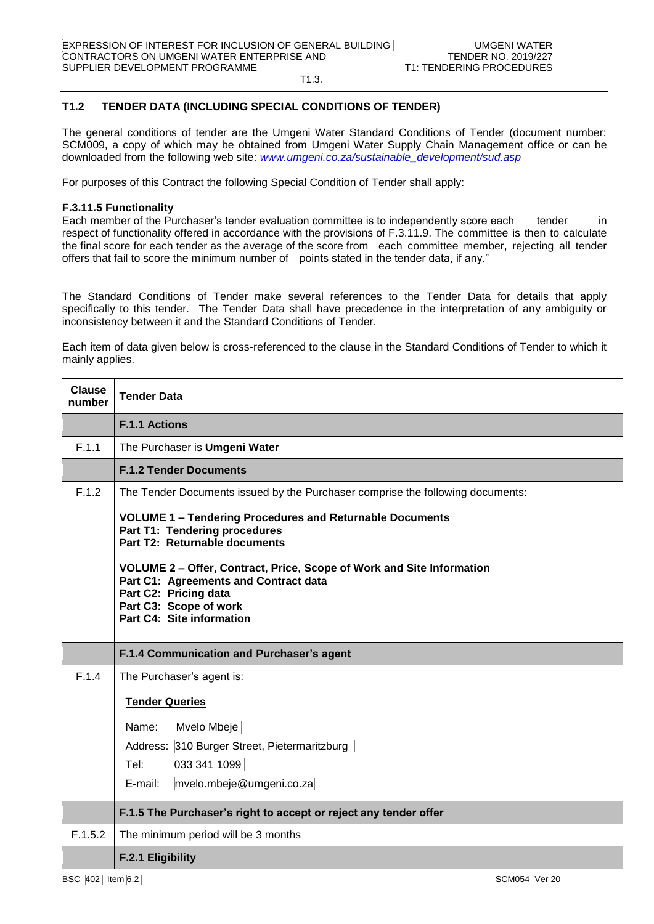T1.3.

# **T1.2 TENDER DATA (INCLUDING SPECIAL CONDITIONS OF TENDER)**

The general conditions of tender are the Umgeni Water Standard Conditions of Tender (document number: SCM009, a copy of which may be obtained from Umgeni Water Supply Chain Management office or can be downloaded from the following web site: *[www.umgeni.co.za/sustainable\\_development/sud.asp](http://www.umgeni.co.za/sustainable_development/sud.asp)*

For purposes of this Contract the following Special Condition of Tender shall apply:

# **F.3.11.5 Functionality**

Each member of the Purchaser's tender evaluation committee is to independently score each tender in respect of functionality offered in accordance with the provisions of F.3.11.9. The committee is then to calculate the final score for each tender as the average of the score from each committee member, rejecting all tender offers that fail to score the minimum number of points stated in the tender data, if any."

The Standard Conditions of Tender make several references to the Tender Data for details that apply specifically to this tender. The Tender Data shall have precedence in the interpretation of any ambiguity or inconsistency between it and the Standard Conditions of Tender.

Each item of data given below is cross-referenced to the clause in the Standard Conditions of Tender to which it mainly applies.

| <b>Clause</b><br>number | <b>Tender Data</b>                                                                                                                                                                                                                                                                                                                                                                                                    |  |
|-------------------------|-----------------------------------------------------------------------------------------------------------------------------------------------------------------------------------------------------------------------------------------------------------------------------------------------------------------------------------------------------------------------------------------------------------------------|--|
|                         | <b>F.1.1 Actions</b>                                                                                                                                                                                                                                                                                                                                                                                                  |  |
| F.1.1                   | The Purchaser is Umgeni Water                                                                                                                                                                                                                                                                                                                                                                                         |  |
|                         | <b>F.1.2 Tender Documents</b>                                                                                                                                                                                                                                                                                                                                                                                         |  |
| F.1.2                   | The Tender Documents issued by the Purchaser comprise the following documents:<br><b>VOLUME 1 - Tendering Procedures and Returnable Documents</b><br>Part T1: Tendering procedures<br>Part T2: Returnable documents<br>VOLUME 2 - Offer, Contract, Price, Scope of Work and Site Information<br>Part C1: Agreements and Contract data<br>Part C2: Pricing data<br>Part C3: Scope of work<br>Part C4: Site information |  |
|                         | F.1.4 Communication and Purchaser's agent                                                                                                                                                                                                                                                                                                                                                                             |  |
| F.1.4                   | The Purchaser's agent is:<br><b>Tender Queries</b>                                                                                                                                                                                                                                                                                                                                                                    |  |
|                         | Mvelo Mbeje<br>Name:<br>Address: 310 Burger Street, Pietermaritzburg<br>033 341 1099<br>Tel:<br>E-mail:<br>mvelo.mbeje@umgeni.co.za                                                                                                                                                                                                                                                                                   |  |
|                         | F.1.5 The Purchaser's right to accept or reject any tender offer                                                                                                                                                                                                                                                                                                                                                      |  |
| F.1.5.2                 | The minimum period will be 3 months                                                                                                                                                                                                                                                                                                                                                                                   |  |
|                         | F.2.1 Eligibility                                                                                                                                                                                                                                                                                                                                                                                                     |  |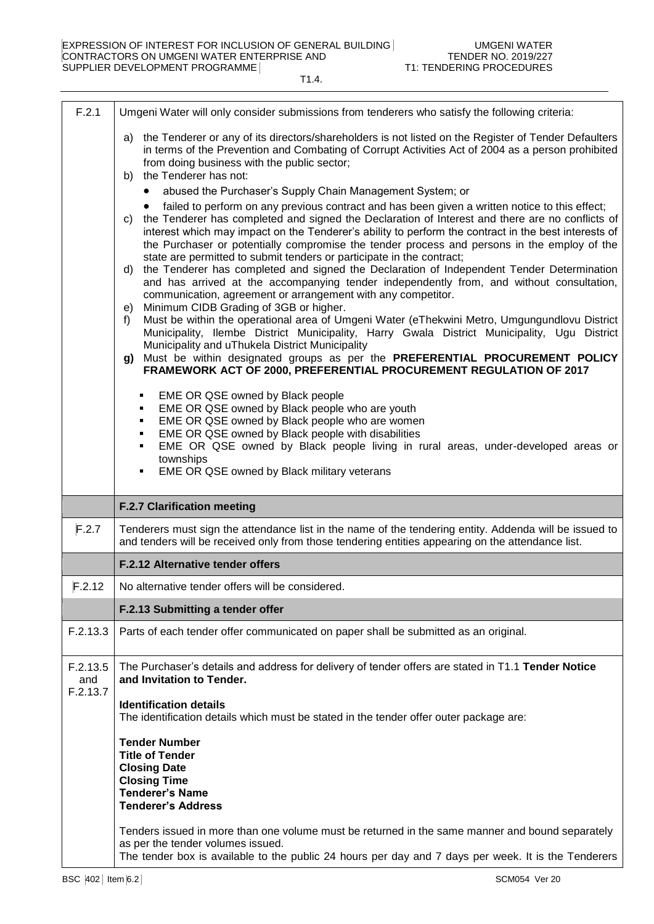| F.2.1                                                                                                                                                                                                                                                                                                                                                                                                                                                                                                                                                                                                                                                                                                                                                                                                                                                                                                                                                                                                                                                         | Umgeni Water will only consider submissions from tenderers who satisfy the following criteria:                                                                                                                                                                                                                                                                                                                                                                                                                       |  |  |  |
|---------------------------------------------------------------------------------------------------------------------------------------------------------------------------------------------------------------------------------------------------------------------------------------------------------------------------------------------------------------------------------------------------------------------------------------------------------------------------------------------------------------------------------------------------------------------------------------------------------------------------------------------------------------------------------------------------------------------------------------------------------------------------------------------------------------------------------------------------------------------------------------------------------------------------------------------------------------------------------------------------------------------------------------------------------------|----------------------------------------------------------------------------------------------------------------------------------------------------------------------------------------------------------------------------------------------------------------------------------------------------------------------------------------------------------------------------------------------------------------------------------------------------------------------------------------------------------------------|--|--|--|
|                                                                                                                                                                                                                                                                                                                                                                                                                                                                                                                                                                                                                                                                                                                                                                                                                                                                                                                                                                                                                                                               | a) the Tenderer or any of its directors/shareholders is not listed on the Register of Tender Defaulters<br>in terms of the Prevention and Combating of Corrupt Activities Act of 2004 as a person prohibited<br>from doing business with the public sector;<br>the Tenderer has not:<br>b)                                                                                                                                                                                                                           |  |  |  |
|                                                                                                                                                                                                                                                                                                                                                                                                                                                                                                                                                                                                                                                                                                                                                                                                                                                                                                                                                                                                                                                               | abused the Purchaser's Supply Chain Management System; or                                                                                                                                                                                                                                                                                                                                                                                                                                                            |  |  |  |
| failed to perform on any previous contract and has been given a written notice to this effect;<br>the Tenderer has completed and signed the Declaration of Interest and there are no conflicts of<br>C)<br>interest which may impact on the Tenderer's ability to perform the contract in the best interests of<br>the Purchaser or potentially compromise the tender process and persons in the employ of the<br>state are permitted to submit tenders or participate in the contract;<br>the Tenderer has completed and signed the Declaration of Independent Tender Determination<br>d)<br>and has arrived at the accompanying tender independently from, and without consultation,<br>communication, agreement or arrangement with any competitor.<br>Minimum CIDB Grading of 3GB or higher.<br>e)<br>Must be within the operational area of Umgeni Water (eThekwini Metro, Umgungundlovu District<br>f<br>Municipality, Ilembe District Municipality, Harry Gwala District Municipality, Ugu District<br>Municipality and uThukela District Municipality |                                                                                                                                                                                                                                                                                                                                                                                                                                                                                                                      |  |  |  |
|                                                                                                                                                                                                                                                                                                                                                                                                                                                                                                                                                                                                                                                                                                                                                                                                                                                                                                                                                                                                                                                               | Must be within designated groups as per the PREFERENTIAL PROCUREMENT POLICY<br>g)<br>FRAMEWORK ACT OF 2000, PREFERENTIAL PROCUREMENT REGULATION OF 2017                                                                                                                                                                                                                                                                                                                                                              |  |  |  |
|                                                                                                                                                                                                                                                                                                                                                                                                                                                                                                                                                                                                                                                                                                                                                                                                                                                                                                                                                                                                                                                               | EME OR QSE owned by Black people<br>٠<br>EME OR QSE owned by Black people who are youth<br>٠<br>EME OR QSE owned by Black people who are women<br>٠<br>EME OR QSE owned by Black people with disabilities<br>٠<br>EME OR QSE owned by Black people living in rural areas, under-developed areas or<br>townships<br>EME OR QSE owned by Black military veterans<br>٠                                                                                                                                                  |  |  |  |
|                                                                                                                                                                                                                                                                                                                                                                                                                                                                                                                                                                                                                                                                                                                                                                                                                                                                                                                                                                                                                                                               | <b>F.2.7 Clarification meeting</b>                                                                                                                                                                                                                                                                                                                                                                                                                                                                                   |  |  |  |
| F.2.7                                                                                                                                                                                                                                                                                                                                                                                                                                                                                                                                                                                                                                                                                                                                                                                                                                                                                                                                                                                                                                                         | Tenderers must sign the attendance list in the name of the tendering entity. Addenda will be issued to<br>and tenders will be received only from those tendering entities appearing on the attendance list.                                                                                                                                                                                                                                                                                                          |  |  |  |
|                                                                                                                                                                                                                                                                                                                                                                                                                                                                                                                                                                                                                                                                                                                                                                                                                                                                                                                                                                                                                                                               | F.2.12 Alternative tender offers                                                                                                                                                                                                                                                                                                                                                                                                                                                                                     |  |  |  |
| F.2.12                                                                                                                                                                                                                                                                                                                                                                                                                                                                                                                                                                                                                                                                                                                                                                                                                                                                                                                                                                                                                                                        | No alternative tender offers will be considered.                                                                                                                                                                                                                                                                                                                                                                                                                                                                     |  |  |  |
|                                                                                                                                                                                                                                                                                                                                                                                                                                                                                                                                                                                                                                                                                                                                                                                                                                                                                                                                                                                                                                                               | F.2.13 Submitting a tender offer                                                                                                                                                                                                                                                                                                                                                                                                                                                                                     |  |  |  |
| F.2.13.3                                                                                                                                                                                                                                                                                                                                                                                                                                                                                                                                                                                                                                                                                                                                                                                                                                                                                                                                                                                                                                                      | Parts of each tender offer communicated on paper shall be submitted as an original.                                                                                                                                                                                                                                                                                                                                                                                                                                  |  |  |  |
| F.2.13.5<br>and<br>F.2.13.7                                                                                                                                                                                                                                                                                                                                                                                                                                                                                                                                                                                                                                                                                                                                                                                                                                                                                                                                                                                                                                   | The Purchaser's details and address for delivery of tender offers are stated in T1.1 Tender Notice<br>and Invitation to Tender.<br><b>Identification details</b><br>The identification details which must be stated in the tender offer outer package are:<br><b>Tender Number</b><br><b>Title of Tender</b><br><b>Closing Date</b><br><b>Closing Time</b><br><b>Tenderer's Name</b><br><b>Tenderer's Address</b><br>Tenders issued in more than one volume must be returned in the same manner and bound separately |  |  |  |
|                                                                                                                                                                                                                                                                                                                                                                                                                                                                                                                                                                                                                                                                                                                                                                                                                                                                                                                                                                                                                                                               | as per the tender volumes issued.<br>The tender box is available to the public 24 hours per day and 7 days per week. It is the Tenderers                                                                                                                                                                                                                                                                                                                                                                             |  |  |  |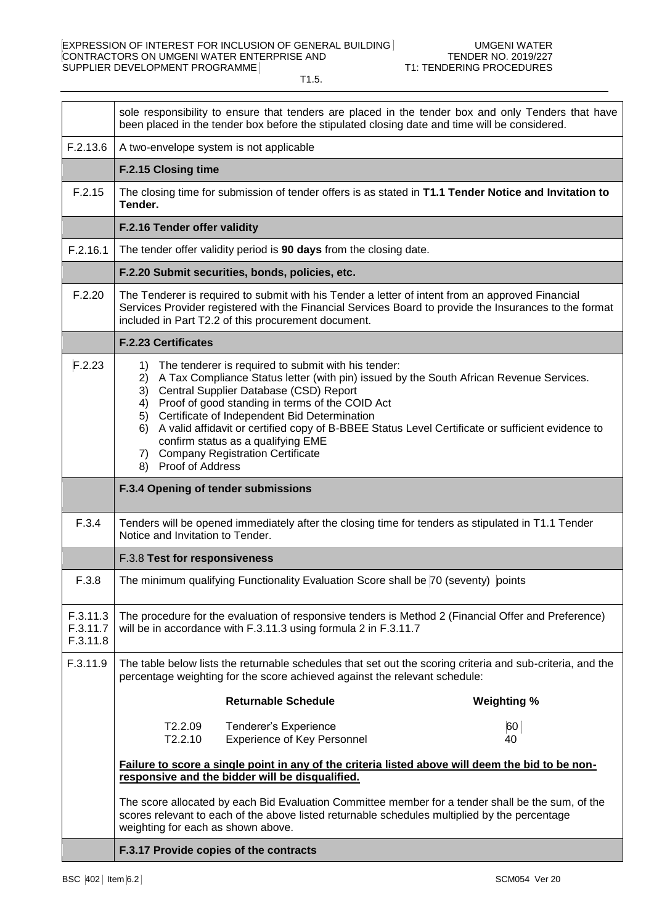sole responsibility to ensure that tenders are placed in the tender box and only Tenders that have been placed in the tender box before the stipulated closing date and time will be considered.  $F.2.13.6$  | A two-envelope system is not applicable **F.2.15 Closing time** F.2.15 The closing time for submission of tender offers is as stated in **T1.1 Tender Notice and Invitation to Tender. F.2.16 Tender offer validity** F.2.16.1 The tender offer validity period is **90 days** from the closing date. **F.2.20 Submit securities, bonds, policies, etc.** F.2.20 The Tenderer is required to submit with his Tender a letter of intent from an approved Financial Services Provider registered with the Financial Services Board to provide the Insurances to the format included in Part T2.2 of this procurement document. **F.2.23 Certificates**  $\mathsf{F.2.23}$  | 1) The tenderer is required to submit with his tender: 2) A Tax Compliance Status letter (with pin) issued by the South African Revenue Services. 3) Central Supplier Database (CSD) Report 4) Proof of good standing in terms of the COID Act 5) Certificate of Independent Bid Determination 6) A valid affidavit or certified copy of B-BBEE Status Level Certificate or sufficient evidence to confirm status as a qualifying EME 7) Company Registration Certificate 8) Proof of Address **F.3.4 Opening of tender submissions** F.3.4 Tenders will be opened immediately after the closing time for tenders as stipulated in T1.1 Tender Notice and Invitation to Tender. F.3.8 **Test for responsiveness** F.3.8 The minimum qualifying Functionality Evaluation Score shall be 70 (seventy) points F.3.11.3 F.3.11.7 F.3.11.8 The procedure for the evaluation of responsive tenders is Method 2 (Financial Offer and Preference) will be in accordance with F.3.11.3 using formula 2 in F.3.11.7 F.3.11.9 The table below lists the returnable schedules that set out the scoring criteria and sub-criteria, and the percentage weighting for the score achieved against the relevant schedule: **Returnable Schedule Weighting %** T2.2.09 Tenderer's Experience 60 T2.2.10 Experience of Key Personnel 40 **Failure to score a single point in any of the criteria listed above will deem the bid to be nonresponsive and the bidder will be disqualified.** The score allocated by each Bid Evaluation Committee member for a tender shall be the sum, of the scores relevant to each of the above listed returnable schedules multiplied by the percentage weighting for each as shown above. **F.3.17 Provide copies of the contracts**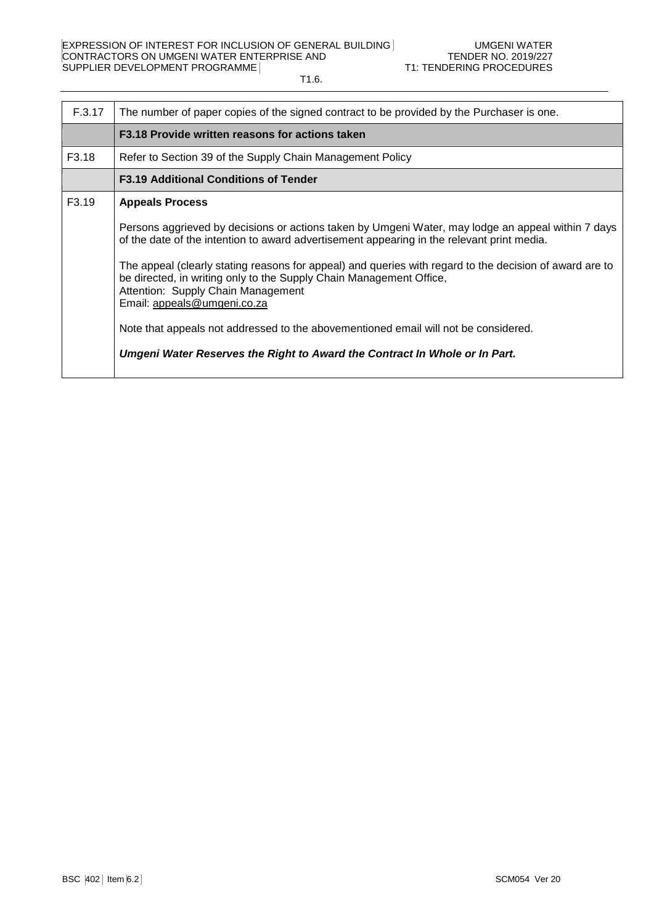| F.3.17            | The number of paper copies of the signed contract to be provided by the Purchaser is one.                                                                                                                                                                                                                                                                                                                                                                                                                                                                                                                                                              |  |  |
|-------------------|--------------------------------------------------------------------------------------------------------------------------------------------------------------------------------------------------------------------------------------------------------------------------------------------------------------------------------------------------------------------------------------------------------------------------------------------------------------------------------------------------------------------------------------------------------------------------------------------------------------------------------------------------------|--|--|
|                   | F3.18 Provide written reasons for actions taken                                                                                                                                                                                                                                                                                                                                                                                                                                                                                                                                                                                                        |  |  |
| F3.18             | Refer to Section 39 of the Supply Chain Management Policy                                                                                                                                                                                                                                                                                                                                                                                                                                                                                                                                                                                              |  |  |
|                   | <b>F3.19 Additional Conditions of Tender</b>                                                                                                                                                                                                                                                                                                                                                                                                                                                                                                                                                                                                           |  |  |
| F <sub>3.19</sub> | <b>Appeals Process</b><br>Persons aggrieved by decisions or actions taken by Umgeni Water, may lodge an appeal within 7 days<br>of the date of the intention to award advertisement appearing in the relevant print media.<br>The appeal (clearly stating reasons for appeal) and queries with regard to the decision of award are to<br>be directed, in writing only to the Supply Chain Management Office,<br>Attention: Supply Chain Management<br>Email: appeals@umgeni.co.za<br>Note that appeals not addressed to the abovementioned email will not be considered.<br>Umgeni Water Reserves the Right to Award the Contract In Whole or In Part. |  |  |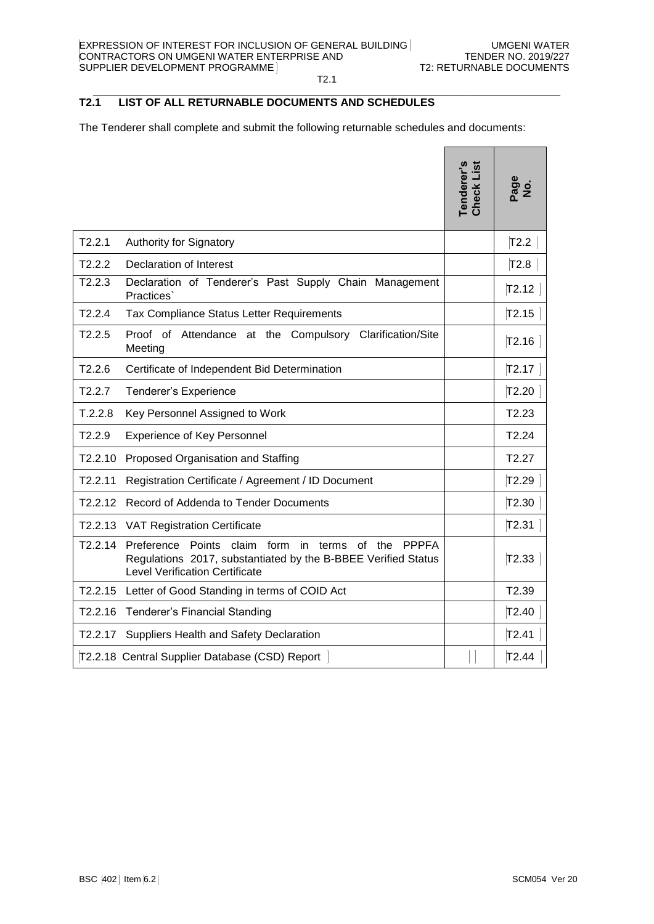#### $\_$  . The contribution of the contribution of the contribution of the contribution of the contribution of the contribution of  $\mathcal{L}_\text{max}$ **T2.1 LIST OF ALL RETURNABLE DOCUMENTS AND SCHEDULES**

The Tenderer shall complete and submit the following returnable schedules and documents:

|                      |                                                                                                                                                                                        | Tenderer's<br>Check List | Page<br>No. |
|----------------------|----------------------------------------------------------------------------------------------------------------------------------------------------------------------------------------|--------------------------|-------------|
| T2.2.1               | Authority for Signatory                                                                                                                                                                |                          | T2.2        |
| T2.2.2               | <b>Declaration of Interest</b>                                                                                                                                                         |                          | T2.8        |
| T2.2.3               | Declaration of Tenderer's Past Supply Chain Management<br>Practices`                                                                                                                   |                          | T2.12       |
| T2.2.4               | Tax Compliance Status Letter Requirements                                                                                                                                              |                          | T2.15       |
| T2.2.5               | Proof of Attendance at the Compulsory Clarification/Site<br>Meeting                                                                                                                    |                          | T2.16       |
| T2.2.6               | Certificate of Independent Bid Determination                                                                                                                                           |                          | T2.17       |
| T2.2.7               | Tenderer's Experience                                                                                                                                                                  |                          | T2.20       |
| T.2.2.8              | Key Personnel Assigned to Work                                                                                                                                                         |                          | T2.23       |
| T2.2.9               | <b>Experience of Key Personnel</b>                                                                                                                                                     |                          | T2.24       |
| T2.2.10              | Proposed Organisation and Staffing                                                                                                                                                     |                          | T2.27       |
| T2.2.11              | Registration Certificate / Agreement / ID Document                                                                                                                                     |                          | T2.29       |
| T <sub>2</sub> .2.12 | Record of Addenda to Tender Documents                                                                                                                                                  |                          | T2.30       |
| T2.2.13              | <b>VAT Registration Certificate</b>                                                                                                                                                    |                          | T2.31       |
| T2.2.14              | Points claim<br>form<br><b>PPPFA</b><br>Preference<br>in.<br>terms<br>of the<br>Regulations 2017, substantiated by the B-BBEE Verified Status<br><b>Level Verification Certificate</b> |                          | T2.33       |
| T2.2.15              | Letter of Good Standing in terms of COID Act                                                                                                                                           |                          | T2.39       |
|                      | T2.2.16 Tenderer's Financial Standing                                                                                                                                                  |                          | T2.40       |
| T2.2.17              | Suppliers Health and Safety Declaration                                                                                                                                                |                          | T2.41       |
|                      | T2.2.18 Central Supplier Database (CSD) Report                                                                                                                                         |                          | T2.44       |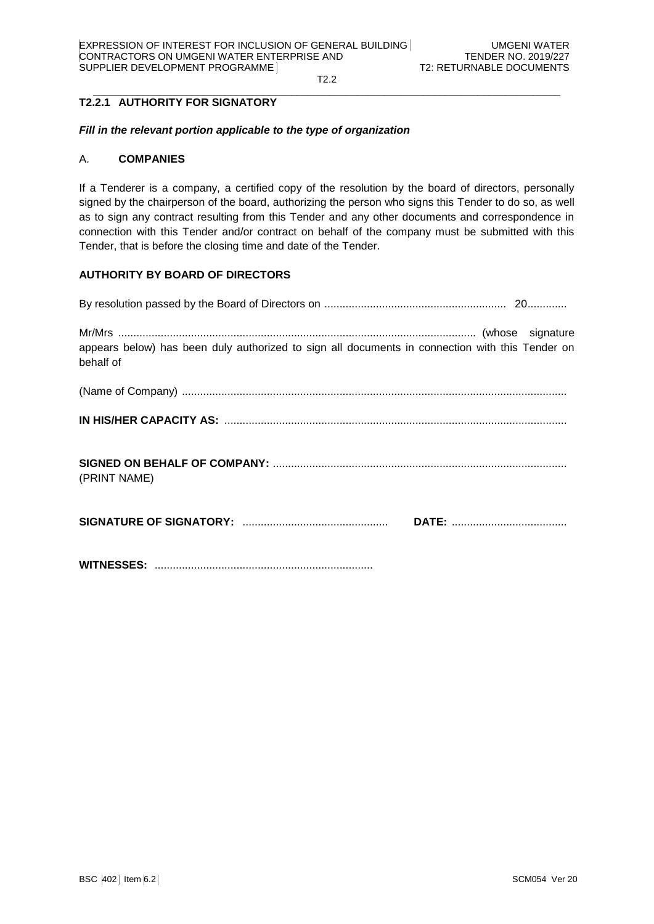#### $\_$  . The contribution of the contribution of the contribution of the contribution of the contribution of the contribution of  $\mathcal{L}_\text{max}$ **T2.2.1 AUTHORITY FOR SIGNATORY**

### *Fill in the relevant portion applicable to the type of organization*

### A. **COMPANIES**

If a Tenderer is a company, a certified copy of the resolution by the board of directors, personally signed by the chairperson of the board, authorizing the person who signs this Tender to do so, as well as to sign any contract resulting from this Tender and any other documents and correspondence in connection with this Tender and/or contract on behalf of the company must be submitted with this Tender, that is before the closing time and date of the Tender.

# **AUTHORITY BY BOARD OF DIRECTORS**

| appears below) has been duly authorized to sign all documents in connection with this Tender on<br>behalf of |
|--------------------------------------------------------------------------------------------------------------|
|                                                                                                              |
|                                                                                                              |
| (PRINT NAME)                                                                                                 |
|                                                                                                              |
|                                                                                                              |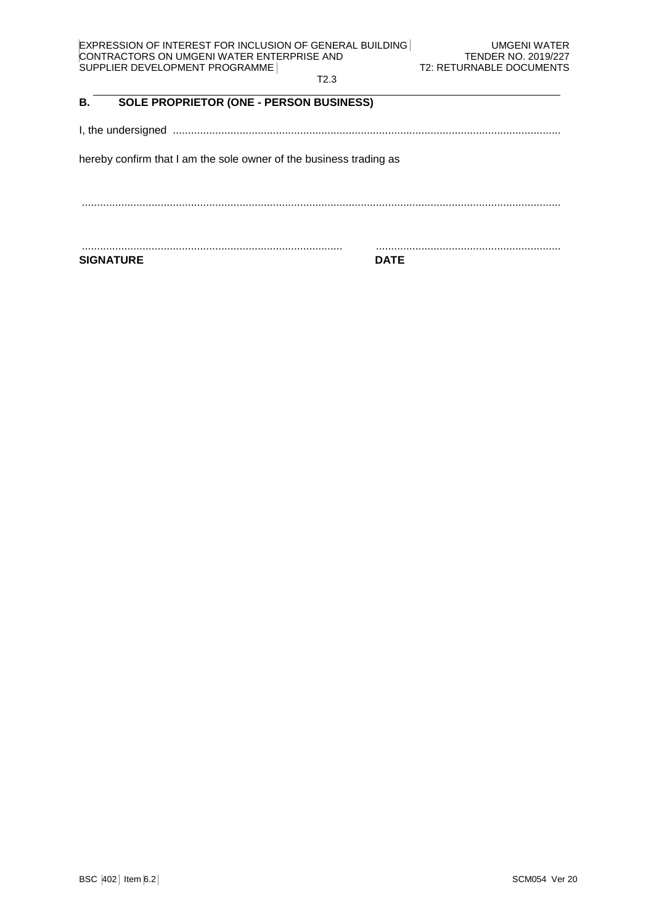| EXPRESSION OF INTEREST FOR INCLUSION OF GENERAL BUILDING |
|----------------------------------------------------------|
| CONTRACTORS ON UMGENI WATER ENTERPRISE AND               |
| SUPPLIER DEVELOPMENT PROGRAMME                           |

### T2.3  $\_$  . The contribution of the contribution of the contribution of the contribution of the contribution of the contribution of the contribution of the contribution of the contribution of the contribution of the contributio

# **B. SOLE PROPRIETOR (ONE - PERSON BUSINESS)**

I, the undersigned ................................................................................................................................

hereby confirm that I am the sole owner of the business trading as

..............................................................................................................................................................

...................................................................................... .............................................................

**SIGNATURE DATE**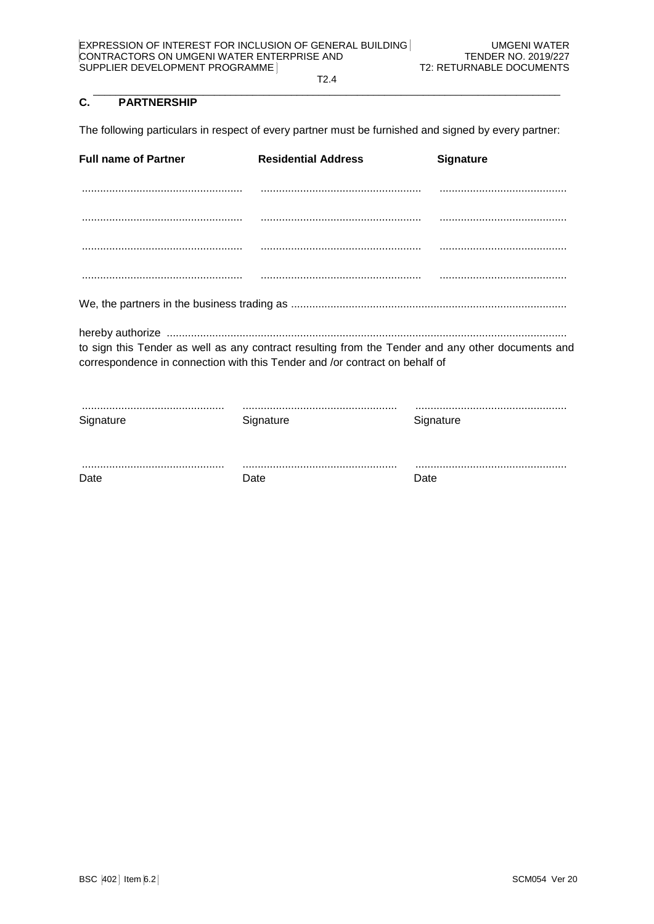#### $\_$  . The contribution of the contribution of the contribution of the contribution of the contribution of the contribution of the contribution of the contribution of the contribution of the contribution of the contributio **C. PARTNERSHIP**

The following particulars in respect of every partner must be furnished and signed by every partner:

| <b>Full name of Partner</b>                                                                                                                                                      | <b>Residential Address</b> | <b>Signature</b> |  |  |
|----------------------------------------------------------------------------------------------------------------------------------------------------------------------------------|----------------------------|------------------|--|--|
|                                                                                                                                                                                  |                            |                  |  |  |
|                                                                                                                                                                                  |                            |                  |  |  |
|                                                                                                                                                                                  |                            |                  |  |  |
|                                                                                                                                                                                  |                            |                  |  |  |
|                                                                                                                                                                                  |                            |                  |  |  |
| to sign this Tender as well as any contract resulting from the Tender and any other documents and<br>correspondence in connection with this Tender and /or contract on behalf of |                            |                  |  |  |
| Signature                                                                                                                                                                        | Signature                  | Signature        |  |  |
| Date                                                                                                                                                                             | Date                       | Date             |  |  |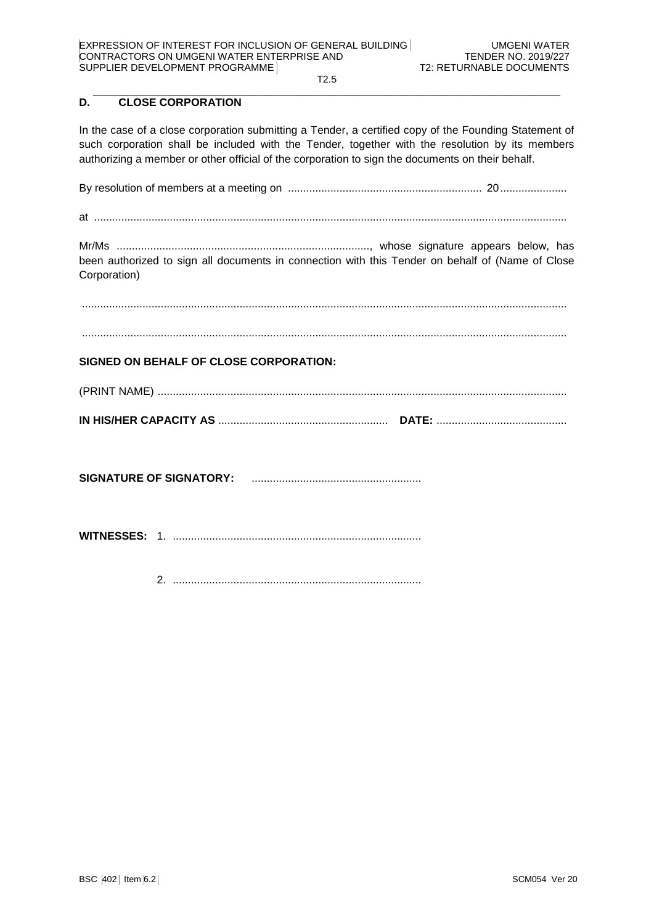#### $\_$  . The contribution of the contribution of the contribution of the contribution of the contribution of the contribution of the contribution of the contribution of the contribution of the contribution of the contributio **D. CLOSE CORPORATION**

In the case of a close corporation submitting a Tender, a certified copy of the Founding Statement of such corporation shall be included with the Tender, together with the resolution by its members authorizing a member or other official of the corporation to sign the documents on their behalf.

By resolution of members at a meeting on ................................................................ 20......................

at ............................................................................................................................................................

Mr/Ms ..................................................................................., whose signature appears below, has been authorized to sign all documents in connection with this Tender on behalf of (Name of Close Corporation)

................................................................................................................................................................

................................................................................................................................................................

# **SIGNED ON BEHALF OF CLOSE CORPORATION:**

| (PRINT NAME) |  |
|--------------|--|
|              |  |

**SIGNATURE OF SIGNATORY:** ........................................................

**WITNESSES:** 1. ..................................................................................

2. ..................................................................................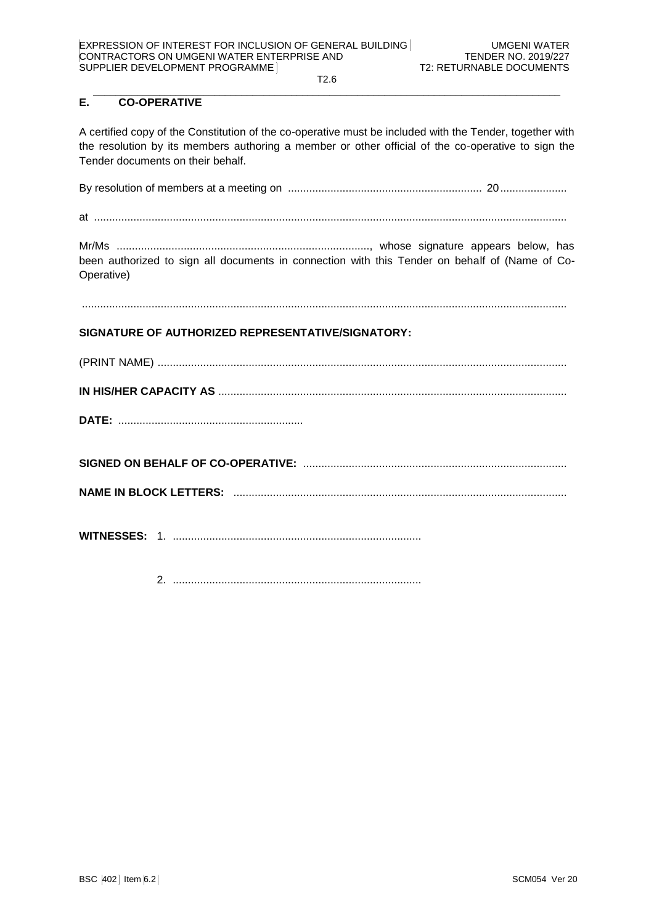#### $\_$  . The contribution of the contribution of the contribution of the contribution of the contribution of the contribution of the contribution of the contribution of the contribution of the contribution of the contributio **E. CO-OPERATIVE**

A certified copy of the Constitution of the co-operative must be included with the Tender, together with the resolution by its members authoring a member or other official of the co-operative to sign the Tender documents on their behalf.

By resolution of members at a meeting on ................................................................ 20......................

at ............................................................................................................................................................

Mr/Ms ..................................................................................., whose signature appears below, has been authorized to sign all documents in connection with this Tender on behalf of (Name of Co-Operative)

................................................................................................................................................................

# **SIGNATURE OF AUTHORIZED REPRESENTATIVE/SIGNATORY:**

**SIGNED ON BEHALF OF CO-OPERATIVE:** .......................................................................................

**NAME IN BLOCK LETTERS:** ..............................................................................................................

**WITNESSES:** 1. ..................................................................................

2. ..................................................................................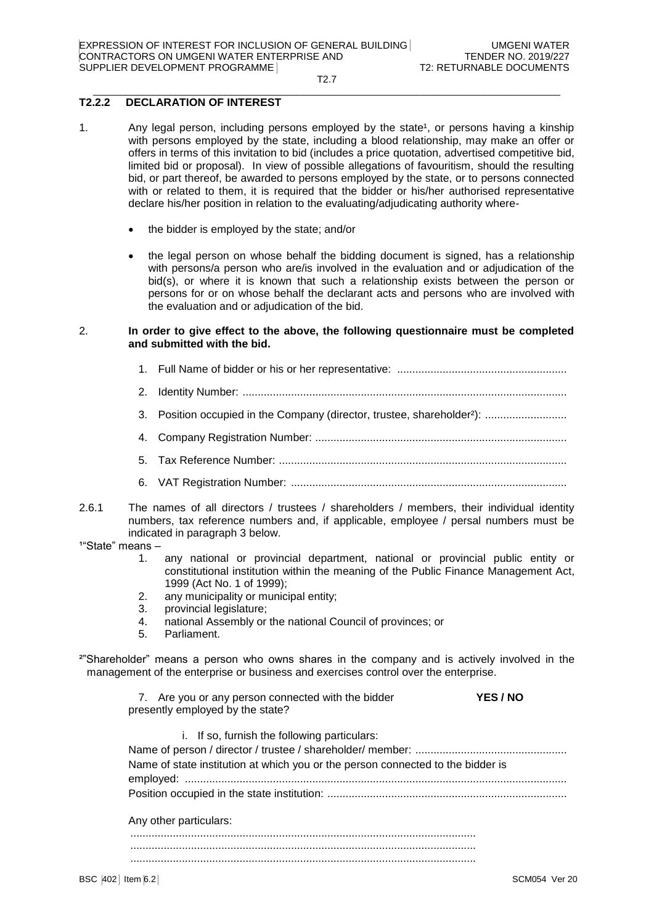#### $\_$  . The contribution of the contribution of the contribution of the contribution of the contribution of the contribution of the contribution of the contribution of the contribution of the contribution of the contributio **T2.2.2 DECLARATION OF INTEREST**

- 1. Any legal person, including persons employed by the state<sup>1</sup>, or persons having a kinship with persons employed by the state, including a blood relationship, may make an offer or offers in terms of this invitation to bid (includes a price quotation, advertised competitive bid, limited bid or proposal). In view of possible allegations of favouritism, should the resulting bid, or part thereof, be awarded to persons employed by the state, or to persons connected with or related to them, it is required that the bidder or his/her authorised representative declare his/her position in relation to the evaluating/adjudicating authority where
	- the bidder is employed by the state; and/or
	- the legal person on whose behalf the bidding document is signed, has a relationship with persons/a person who are/is involved in the evaluation and or adjudication of the bid(s), or where it is known that such a relationship exists between the person or persons for or on whose behalf the declarant acts and persons who are involved with the evaluation and or adjudication of the bid.

### 2. **In order to give effect to the above, the following questionnaire must be completed and submitted with the bid.**

- 1. Full Name of bidder or his or her representative: ........................................................
- 2. Identity Number: ...........................................................................................................
- 3. Position occupied in the Company (director, trustee, shareholder<sup>2</sup>): ...........................
- 4. Company Registration Number: ...................................................................................
- 5. Tax Reference Number: ...............................................................................................
- 6. VAT Registration Number: ...........................................................................................
- 2.6.1 The names of all directors / trustees / shareholders / members, their individual identity numbers, tax reference numbers and, if applicable, employee / persal numbers must be indicated in paragraph 3 below.
- $14$ "State" means  $-$ 
	- 1. any national or provincial department, national or provincial public entity or constitutional institution within the meaning of the Public Finance Management Act, 1999 (Act No. 1 of 1999);
	- 2. any municipality or municipal entity;
	- 3. provincial legislature;
	- 4. national Assembly or the national Council of provinces; or
	- 5. Parliament.
- ²"Shareholder" means a person who owns shares in the company and is actively involved in the management of the enterprise or business and exercises control over the enterprise.

| 7. Are you or any person connected with the bidder | <b>YES/NO</b> |
|----------------------------------------------------|---------------|
| presently employed by the state?                   |               |

i. If so, furnish the following particulars: Name of person / director / trustee / shareholder/ member:

| Name of state institution at which you or the person connected to the bidder is |  |
|---------------------------------------------------------------------------------|--|
|                                                                                 |  |
|                                                                                 |  |
|                                                                                 |  |

Any other particulars:

.................................................................................................................. ..................................................................................................................

..................................................................................................................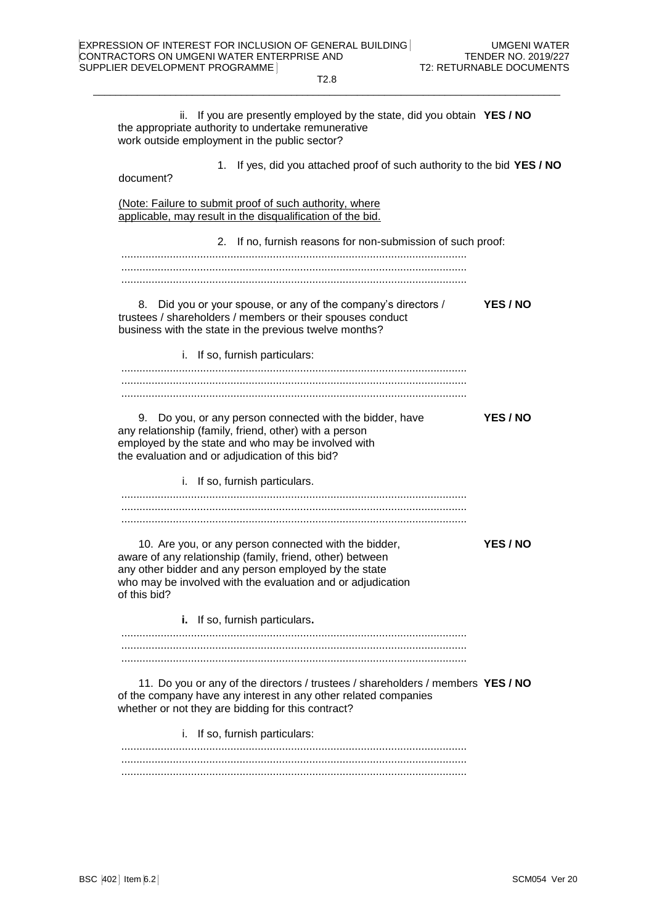the appropriate authority to undertake remunerative work outside employment in the public sector?

T2.8  $\_$  . The contribution of the contribution of the contribution of the contribution of the contribution of the contribution of the contribution of the contribution of the contribution of the contribution of the contributio

ii. If you are presently employed by the state, did you obtain **YES / NO**

| 1. If yes, did you attached proof of such authority to the bid YES / NO<br>document?                                                                                                                                                                       |                 |
|------------------------------------------------------------------------------------------------------------------------------------------------------------------------------------------------------------------------------------------------------------|-----------------|
| (Note: Failure to submit proof of such authority, where<br>applicable, may result in the disqualification of the bid.                                                                                                                                      |                 |
| 2. If no, furnish reasons for non-submission of such proof:                                                                                                                                                                                                |                 |
|                                                                                                                                                                                                                                                            |                 |
|                                                                                                                                                                                                                                                            |                 |
| 8. Did you or your spouse, or any of the company's directors /<br>trustees / shareholders / members or their spouses conduct<br>business with the state in the previous twelve months?                                                                     | YES / NO        |
| i. If so, furnish particulars:                                                                                                                                                                                                                             |                 |
|                                                                                                                                                                                                                                                            |                 |
| 9. Do you, or any person connected with the bidder, have<br>any relationship (family, friend, other) with a person<br>employed by the state and who may be involved with<br>the evaluation and or adjudication of this bid?                                | <b>YES / NO</b> |
| i. If so, furnish particulars.                                                                                                                                                                                                                             |                 |
|                                                                                                                                                                                                                                                            |                 |
|                                                                                                                                                                                                                                                            |                 |
| 10. Are you, or any person connected with the bidder,<br>aware of any relationship (family, friend, other) between<br>any other bidder and any person employed by the state<br>who may be involved with the evaluation and or adjudication<br>of this bid? | YES / NO        |
| i. If so, furnish particulars.                                                                                                                                                                                                                             |                 |
|                                                                                                                                                                                                                                                            |                 |
|                                                                                                                                                                                                                                                            |                 |
| 11. Do you or any of the directors / trustees / shareholders / members YES / NO<br>of the company have any interest in any other related companies<br>whether or not they are bidding for this contract?                                                   |                 |
| i. If so, furnish particulars:                                                                                                                                                                                                                             |                 |
|                                                                                                                                                                                                                                                            |                 |
|                                                                                                                                                                                                                                                            |                 |
|                                                                                                                                                                                                                                                            |                 |
|                                                                                                                                                                                                                                                            |                 |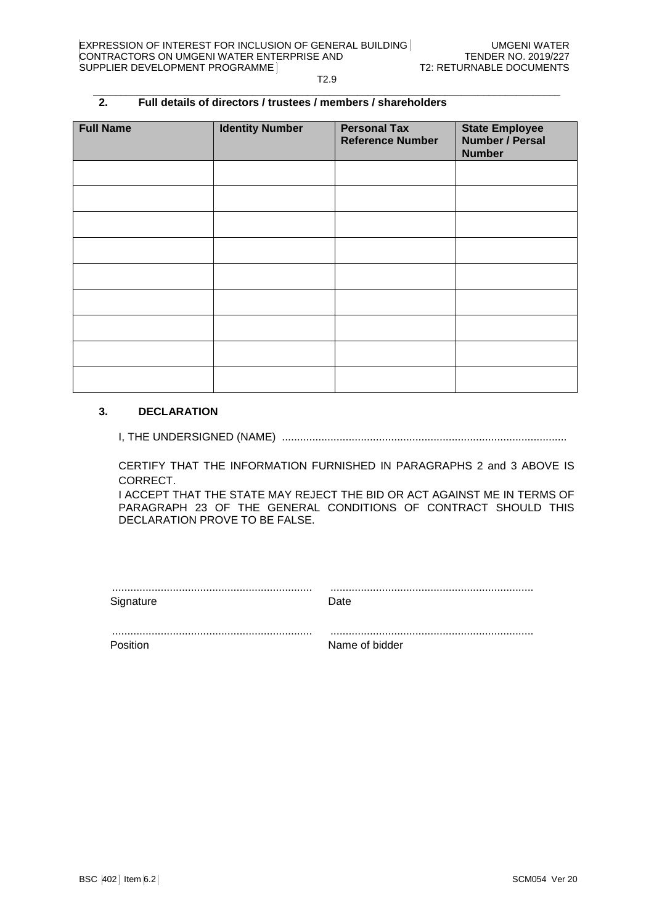#### $\_$  . The contribution of the contribution of the contribution of the contribution of the contribution of the contribution of the contribution of the contribution of the contribution of the contribution of the contributio **2. Full details of directors / trustees / members / shareholders**

| <b>Full Name</b> | <b>Identity Number</b> | <b>Personal Tax</b><br><b>Reference Number</b> | <b>State Employee</b><br><b>Number / Persal</b><br><b>Number</b> |
|------------------|------------------------|------------------------------------------------|------------------------------------------------------------------|
|                  |                        |                                                |                                                                  |
|                  |                        |                                                |                                                                  |
|                  |                        |                                                |                                                                  |
|                  |                        |                                                |                                                                  |
|                  |                        |                                                |                                                                  |
|                  |                        |                                                |                                                                  |
|                  |                        |                                                |                                                                  |
|                  |                        |                                                |                                                                  |
|                  |                        |                                                |                                                                  |

# **3. DECLARATION**

I, THE UNDERSIGNED (NAME) ..............................................................................................

CERTIFY THAT THE INFORMATION FURNISHED IN PARAGRAPHS 2 and 3 ABOVE IS CORRECT.

I ACCEPT THAT THE STATE MAY REJECT THE BID OR ACT AGAINST ME IN TERMS OF PARAGRAPH 23 OF THE GENERAL CONDITIONS OF CONTRACT SHOULD THIS DECLARATION PROVE TO BE FALSE.

| Signature | Date           |
|-----------|----------------|
|           |                |
| Position  | Name of bidder |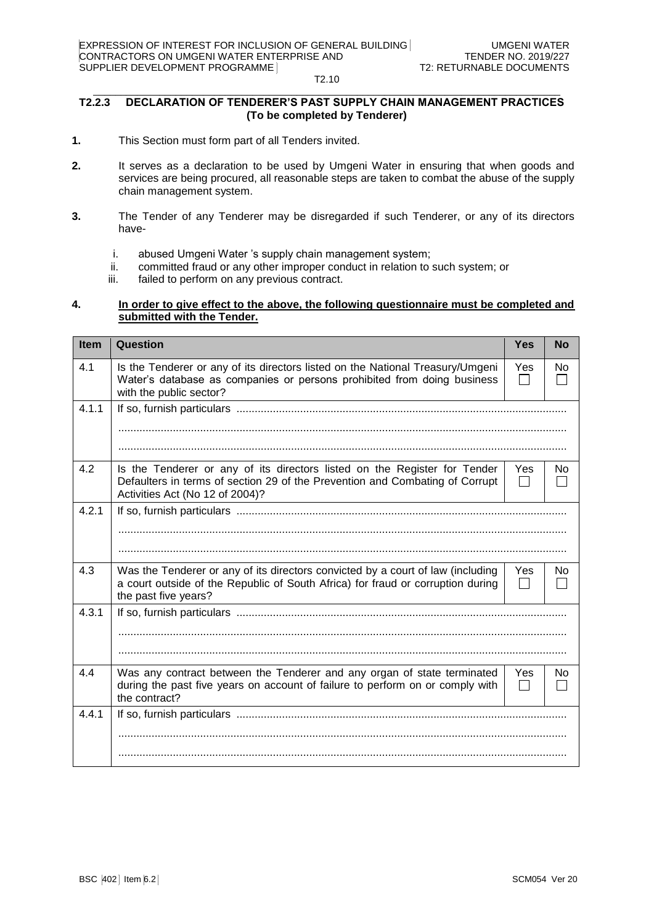#### $\_$  . The contribution of the contribution of the contribution of the contribution of the contribution of the contribution of the contribution of the contribution of the contribution of the contribution of the contributio **T2.2.3 DECLARATION OF TENDERER'S PAST SUPPLY CHAIN MANAGEMENT PRACTICES (To be completed by Tenderer)**

- **1.** This Section must form part of all Tenders invited.
- **2.** It serves as a declaration to be used by Umgeni Water in ensuring that when goods and services are being procured, all reasonable steps are taken to combat the abuse of the supply chain management system.
- **3.** The Tender of any Tenderer may be disregarded if such Tenderer, or any of its directors have
	- i. abused Umgeni Water 's supply chain management system;
	- ii. committed fraud or any other improper conduct in relation to such system; or
	- iii. failed to perform on any previous contract.

# **4. In order to give effect to the above, the following questionnaire must be completed and submitted with the Tender.**

| <b>Item</b> | Question                                                                                                                                                                                     | <b>Yes</b> | <b>No</b> |  |
|-------------|----------------------------------------------------------------------------------------------------------------------------------------------------------------------------------------------|------------|-----------|--|
| 4.1         | Is the Tenderer or any of its directors listed on the National Treasury/Umgeni<br>Water's database as companies or persons prohibited from doing business<br>with the public sector?         |            |           |  |
| 4.1.1       |                                                                                                                                                                                              |            |           |  |
|             |                                                                                                                                                                                              |            |           |  |
|             |                                                                                                                                                                                              |            |           |  |
| 4.2         | Is the Tenderer or any of its directors listed on the Register for Tender<br>Defaulters in terms of section 29 of the Prevention and Combating of Corrupt<br>Activities Act (No 12 of 2004)? | Yes        | No        |  |
| 4.2.1       |                                                                                                                                                                                              |            |           |  |
|             |                                                                                                                                                                                              |            |           |  |
|             |                                                                                                                                                                                              |            |           |  |
| 4.3         | Was the Tenderer or any of its directors convicted by a court of law (including<br>a court outside of the Republic of South Africa) for fraud or corruption during<br>the past five years?   | Yes        | No.       |  |
| 4.3.1       |                                                                                                                                                                                              |            |           |  |
|             |                                                                                                                                                                                              |            |           |  |
|             |                                                                                                                                                                                              |            |           |  |
| 4.4         | Was any contract between the Tenderer and any organ of state terminated<br>during the past five years on account of failure to perform on or comply with<br>the contract?                    | Yes        | No.       |  |
| 4.4.1       |                                                                                                                                                                                              |            |           |  |
|             |                                                                                                                                                                                              |            |           |  |
|             |                                                                                                                                                                                              |            |           |  |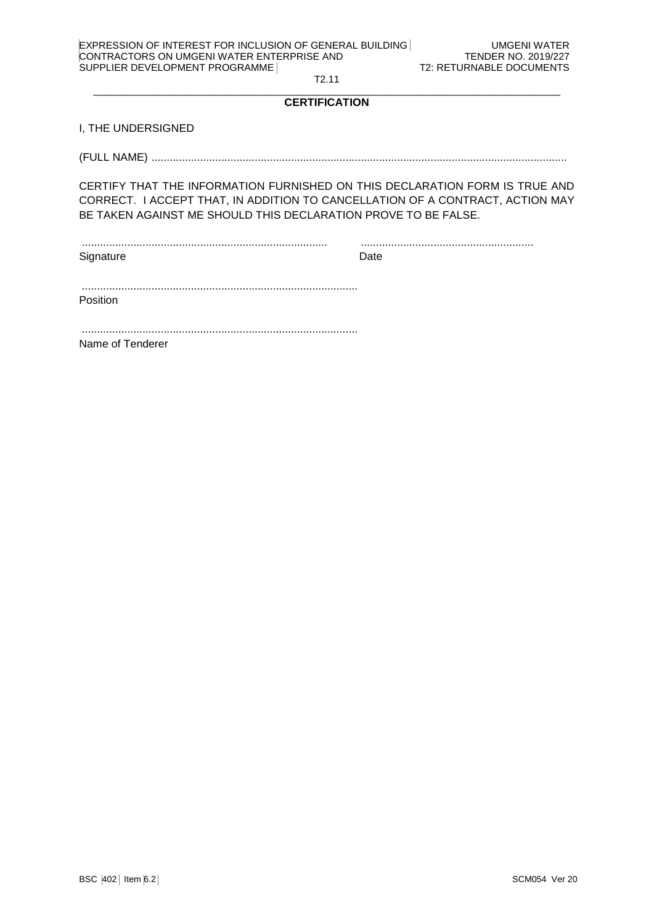| <b>EXPRESSION OF INTEREST FOR INCLUSION OF GENERAL BUILDING</b> |
|-----------------------------------------------------------------|
| CONTRACTORS ON UMGENI WATER ENTERPRISE AND                      |
| SUPPLIER DEVELOPMENT PROGRAMME                                  |

#### $\_$  . The contribution of the contribution of the contribution of the contribution of the contribution of the contribution of the contribution of the contribution of the contribution of the contribution of the contributio **CERTIFICATION**

I, THE UNDERSIGNED

(FULL NAME) .........................................................................................................................................

CERTIFY THAT THE INFORMATION FURNISHED ON THIS DECLARATION FORM IS TRUE AND CORRECT. I ACCEPT THAT, IN ADDITION TO CANCELLATION OF A CONTRACT, ACTION MAY BE TAKEN AGAINST ME SHOULD THIS DECLARATION PROVE TO BE FALSE.

................................................................................. ......................................................... Signature Date Date

| Positior |  |  |  |
|----------|--|--|--|

........................................................................................... Name of Tenderer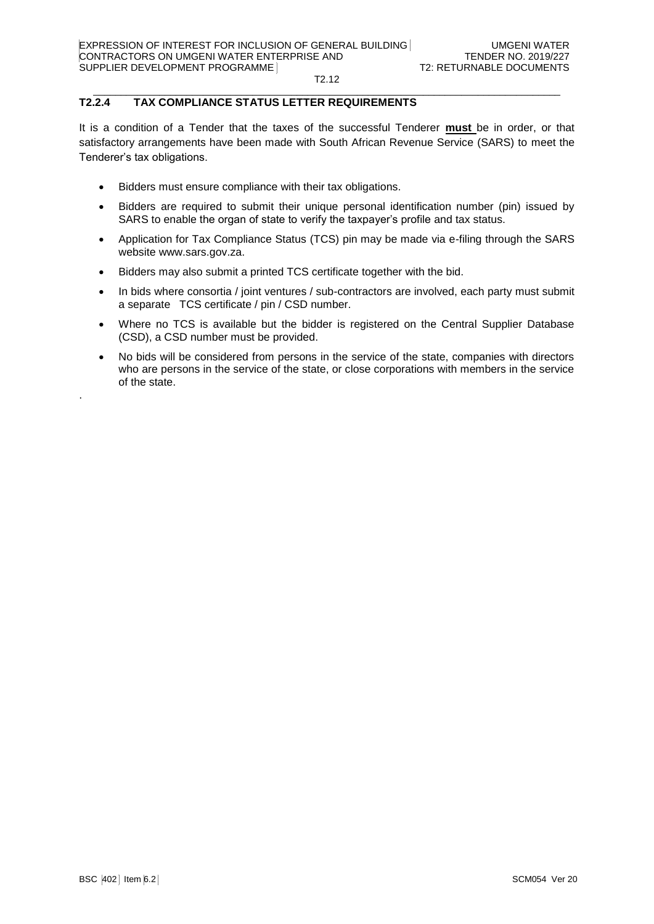#### $\_$  . The contribution of the contribution of the contribution of the contribution of the contribution of the contribution of the contribution of the contribution of the contribution of the contribution of the contributio **T2.2.4 TAX COMPLIANCE STATUS LETTER REQUIREMENTS**

It is a condition of a Tender that the taxes of the successful Tenderer **must** be in order, or that satisfactory arrangements have been made with South African Revenue Service (SARS) to meet the Tenderer's tax obligations.

- Bidders must ensure compliance with their tax obligations.
- Bidders are required to submit their unique personal identification number (pin) issued by SARS to enable the organ of state to verify the taxpayer's profile and tax status.
- Application for Tax Compliance Status (TCS) pin may be made via e-filing through the SARS website [www.sars.gov.za.](http://www.sars.gov.za/)
- Bidders may also submit a printed TCS certificate together with the bid.
- In bids where consortia / joint ventures / sub-contractors are involved, each party must submit a separate TCS certificate / pin / CSD number.
- Where no TCS is available but the bidder is registered on the Central Supplier Database (CSD), a CSD number must be provided.
- No bids will be considered from persons in the service of the state, companies with directors who are persons in the service of the state, or close corporations with members in the service of the state.

.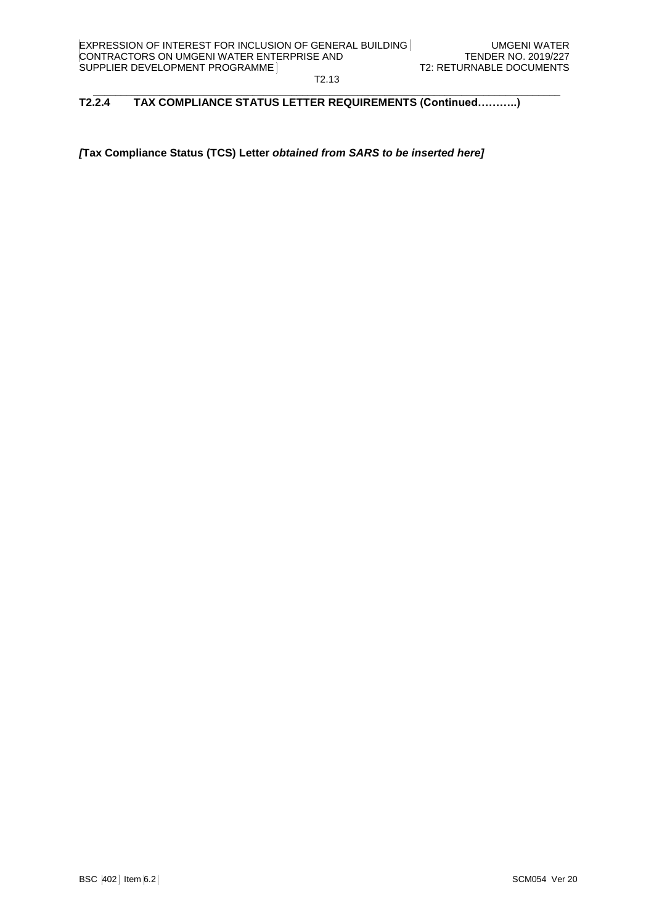#### $\_$  . The contribution of the contribution of the contribution of the contribution of the contribution of the contribution of the contribution of the contribution of the contribution of the contribution of the contributio **T2.2.4 TAX COMPLIANCE STATUS LETTER REQUIREMENTS (Continued………..)**

*[***Tax Compliance Status (TCS) Letter** *obtained from SARS to be inserted here]*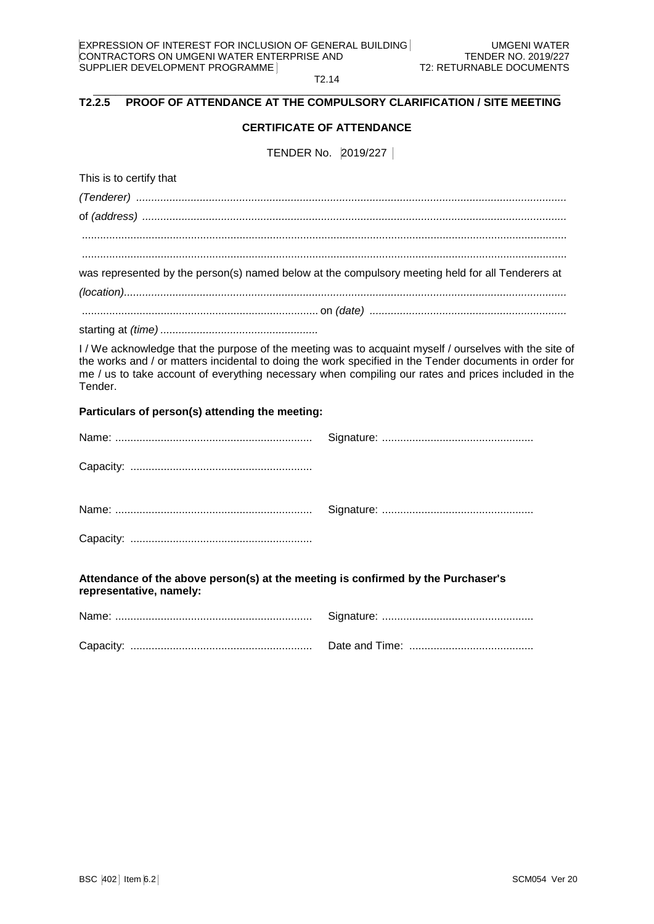T2.14  $\_$  . The contribution of the contribution of the contribution of the contribution of the contribution of the contribution of the contribution of the contribution of the contribution of the contribution of the contributio

### **T2.2.5 PROOF OF ATTENDANCE AT THE COMPULSORY CLARIFICATION / SITE MEETING**

# **CERTIFICATE OF ATTENDANCE**

TENDER No. 2019/227

This is to certify that

| was represented by the person(s) named below at the compulsory meeting held for all Tenderers at |
|--------------------------------------------------------------------------------------------------|
|                                                                                                  |
|                                                                                                  |
|                                                                                                  |

I / We acknowledge that the purpose of the meeting was to acquaint myself / ourselves with the site of the works and / or matters incidental to doing the work specified in the Tender documents in order for me / us to take account of everything necessary when compiling our rates and prices included in the Tender.

### **Particulars of person(s) attending the meeting:**

**Attendance of the above person(s) at the meeting is confirmed by the Purchaser's representative, namely:**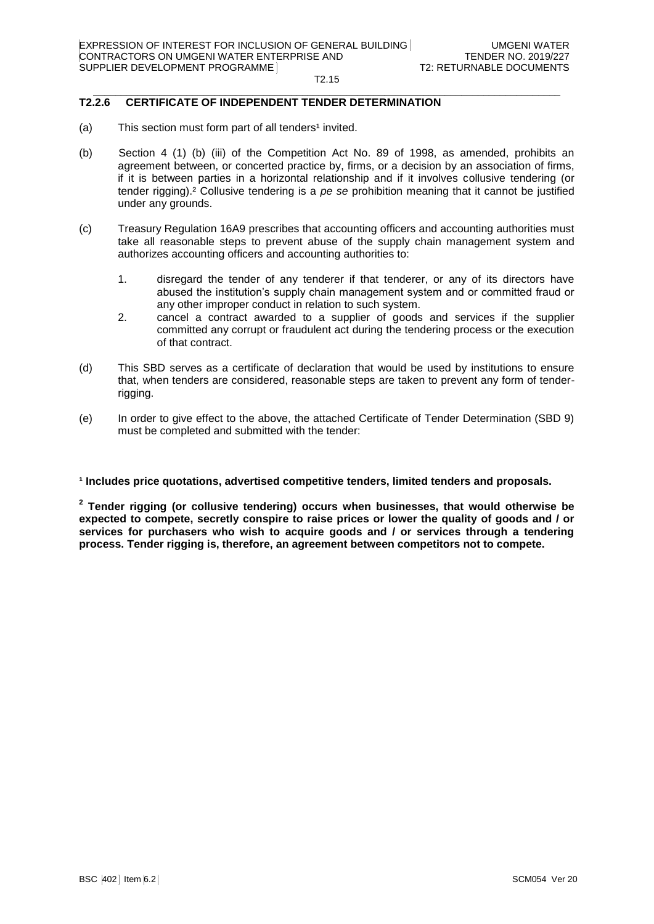#### $\_$  . The contribution of the contribution of the contribution of the contribution of the contribution of the contribution of the contribution of the contribution of the contribution of the contribution of the contributio **T2.2.6 CERTIFICATE OF INDEPENDENT TENDER DETERMINATION**

- (a) This section must form part of all tenders<sup>1</sup> invited.
- (b) Section 4 (1) (b) (iii) of the Competition Act No. 89 of 1998, as amended, prohibits an agreement between, or concerted practice by, firms, or a decision by an association of firms, if it is between parties in a horizontal relationship and if it involves collusive tendering (or tender rigging).² Collusive tendering is a *pe se* prohibition meaning that it cannot be justified under any grounds.
- (c) Treasury Regulation 16A9 prescribes that accounting officers and accounting authorities must take all reasonable steps to prevent abuse of the supply chain management system and authorizes accounting officers and accounting authorities to:
	- 1. disregard the tender of any tenderer if that tenderer, or any of its directors have abused the institution's supply chain management system and or committed fraud or any other improper conduct in relation to such system.
	- 2. cancel a contract awarded to a supplier of goods and services if the supplier committed any corrupt or fraudulent act during the tendering process or the execution of that contract.
- (d) This SBD serves as a certificate of declaration that would be used by institutions to ensure that, when tenders are considered, reasonable steps are taken to prevent any form of tenderrigging.
- (e) In order to give effect to the above, the attached Certificate of Tender Determination (SBD 9) must be completed and submitted with the tender:

### **¹ Includes price quotations, advertised competitive tenders, limited tenders and proposals.**

**2 Tender rigging (or collusive tendering) occurs when businesses, that would otherwise be expected to compete, secretly conspire to raise prices or lower the quality of goods and / or services for purchasers who wish to acquire goods and / or services through a tendering process. Tender rigging is, therefore, an agreement between competitors not to compete.**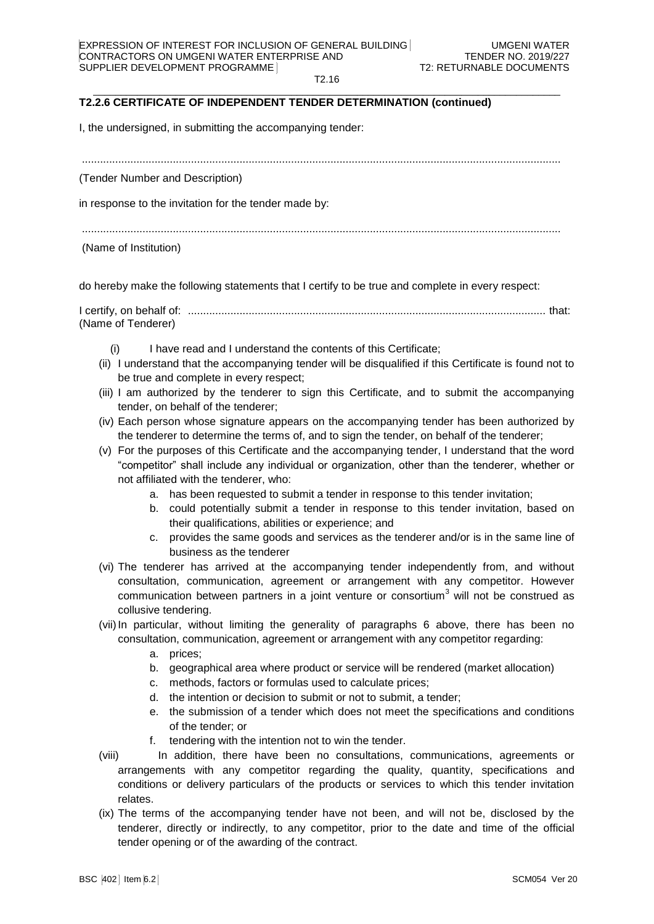#### $\_$  . The contribution of the contribution of the contribution of the contribution of the contribution of the contribution of the contribution of the contribution of the contribution of the contribution of the contributio **T2.2.6 CERTIFICATE OF INDEPENDENT TENDER DETERMINATION (continued)**

I, the undersigned, in submitting the accompanying tender:

..............................................................................................................................................................

(Tender Number and Description)

in response to the invitation for the tender made by:

..............................................................................................................................................................

(Name of Institution)

do hereby make the following statements that I certify to be true and complete in every respect:

I certify, on behalf of: ...................................................................................................................... that: (Name of Tenderer)

- (i) I have read and I understand the contents of this Certificate;
- (ii) I understand that the accompanying tender will be disqualified if this Certificate is found not to be true and complete in every respect;
- (iii) I am authorized by the tenderer to sign this Certificate, and to submit the accompanying tender, on behalf of the tenderer;
- (iv) Each person whose signature appears on the accompanying tender has been authorized by the tenderer to determine the terms of, and to sign the tender, on behalf of the tenderer;
- (v) For the purposes of this Certificate and the accompanying tender, I understand that the word "competitor" shall include any individual or organization, other than the tenderer, whether or not affiliated with the tenderer, who:
	- a. has been requested to submit a tender in response to this tender invitation;
	- b. could potentially submit a tender in response to this tender invitation, based on their qualifications, abilities or experience; and
	- c. provides the same goods and services as the tenderer and/or is in the same line of business as the tenderer
- (vi) The tenderer has arrived at the accompanying tender independently from, and without consultation, communication, agreement or arrangement with any competitor. However communication between partners in a joint venture or consortium<sup>3</sup> will not be construed as collusive tendering.
- (vii) In particular, without limiting the generality of paragraphs 6 above, there has been no consultation, communication, agreement or arrangement with any competitor regarding:
	- a. prices;
	- b. geographical area where product or service will be rendered (market allocation)
	- c. methods, factors or formulas used to calculate prices;
	- d. the intention or decision to submit or not to submit, a tender;
	- e. the submission of a tender which does not meet the specifications and conditions of the tender; or
	- f. tendering with the intention not to win the tender.
- (viii) In addition, there have been no consultations, communications, agreements or arrangements with any competitor regarding the quality, quantity, specifications and conditions or delivery particulars of the products or services to which this tender invitation relates.
- (ix) The terms of the accompanying tender have not been, and will not be, disclosed by the tenderer, directly or indirectly, to any competitor, prior to the date and time of the official tender opening or of the awarding of the contract.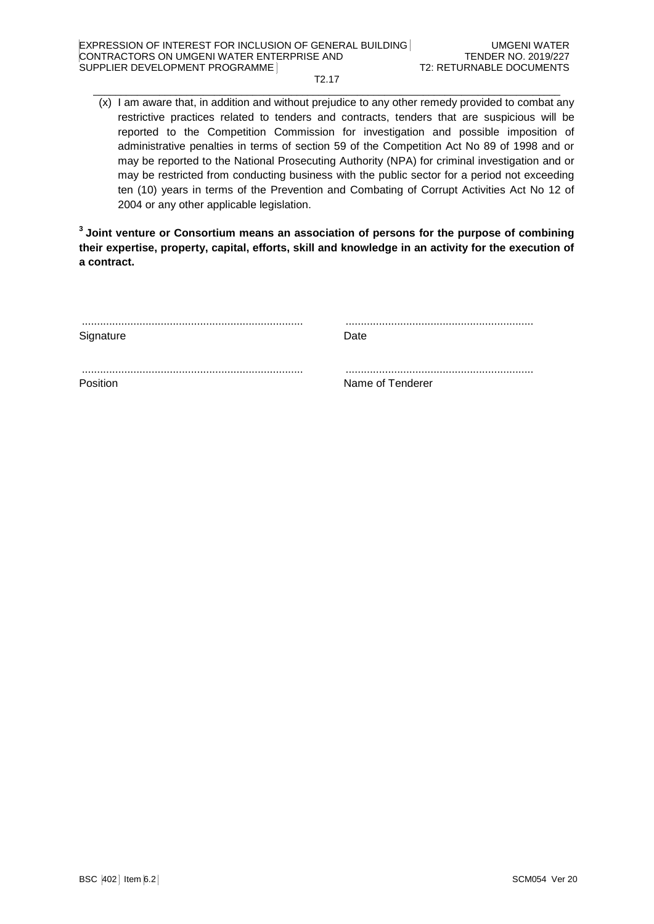#### T2.17  $\_$  . The contribution of the contribution of the contribution of the contribution of the contribution of the contribution of the contribution of the contribution of the contribution of the contribution of the contributio

(x) I am aware that, in addition and without prejudice to any other remedy provided to combat any restrictive practices related to tenders and contracts, tenders that are suspicious will be reported to the Competition Commission for investigation and possible imposition of administrative penalties in terms of section 59 of the Competition Act No 89 of 1998 and or may be reported to the National Prosecuting Authority (NPA) for criminal investigation and or may be restricted from conducting business with the public sector for a period not exceeding ten (10) years in terms of the Prevention and Combating of Corrupt Activities Act No 12 of 2004 or any other applicable legislation.

**<sup>3</sup>Joint venture or Consortium means an association of persons for the purpose of combining their expertise, property, capital, efforts, skill and knowledge in an activity for the execution of a contract.**

| Signature | Date             |
|-----------|------------------|
|           |                  |
| Position  | Name of Tenderer |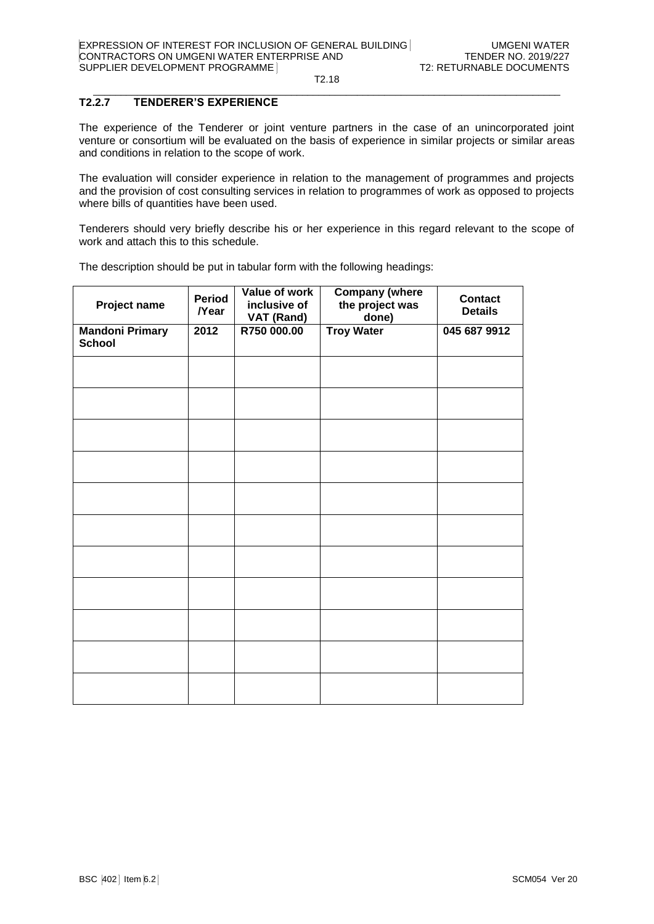#### $\_$  . The contribution of the contribution of the contribution of the contribution of the contribution of the contribution of the contribution of the contribution of the contribution of the contribution of the contributio **T2.2.7 TENDERER'S EXPERIENCE**

The experience of the Tenderer or joint venture partners in the case of an unincorporated joint venture or consortium will be evaluated on the basis of experience in similar projects or similar areas and conditions in relation to the scope of work.

The evaluation will consider experience in relation to the management of programmes and projects and the provision of cost consulting services in relation to programmes of work as opposed to projects where bills of quantities have been used.

Tenderers should very briefly describe his or her experience in this regard relevant to the scope of work and attach this to this schedule.

The description should be put in tabular form with the following headings:

| Project name                            | <b>Period</b><br><b>/Year</b> | Value of work<br>inclusive of<br><b>VAT (Rand)</b> | <b>Company (where</b><br>the project was<br>done) | <b>Contact</b><br><b>Details</b> |
|-----------------------------------------|-------------------------------|----------------------------------------------------|---------------------------------------------------|----------------------------------|
| <b>Mandoni Primary</b><br><b>School</b> | 2012                          | R750 000.00                                        | <b>Troy Water</b>                                 | 045 687 9912                     |
|                                         |                               |                                                    |                                                   |                                  |
|                                         |                               |                                                    |                                                   |                                  |
|                                         |                               |                                                    |                                                   |                                  |
|                                         |                               |                                                    |                                                   |                                  |
|                                         |                               |                                                    |                                                   |                                  |
|                                         |                               |                                                    |                                                   |                                  |
|                                         |                               |                                                    |                                                   |                                  |
|                                         |                               |                                                    |                                                   |                                  |
|                                         |                               |                                                    |                                                   |                                  |
|                                         |                               |                                                    |                                                   |                                  |
|                                         |                               |                                                    |                                                   |                                  |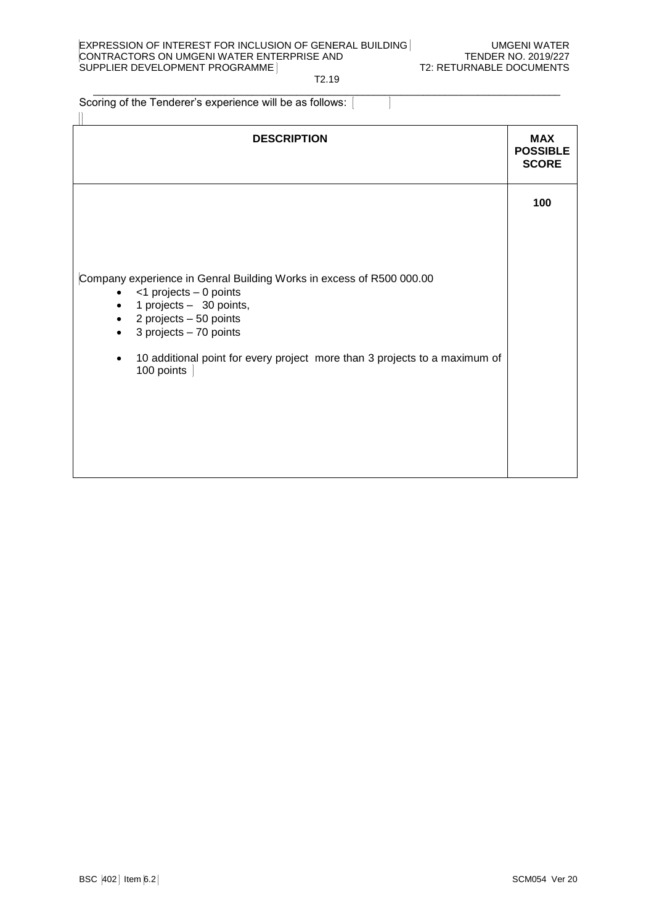### EXPRESSION OF INTEREST FOR INCLUSION OF GENERAL BUILDING UMGENI WATER CONTRACTORS ON UMGENI WATER ENTERPRISE AND TENDER NO. 2019/227<br>SUPPLIER DEVELOPMENT PROGRAMME SUPPLIER DEVELOPMENT PROGRAMME

# T2.19

 $\_$  . The contribution of the contribution of the contribution of the contribution of the contribution of the contribution of the contribution of the contribution of the contribution of the contribution of the contributio Scoring of the Tenderer's experience will be as follows:

| <b>DESCRIPTION</b>                                                                                                                                                                                                                                                                                                         | <b>MAX</b><br><b>POSSIBLE</b><br><b>SCORE</b> |
|----------------------------------------------------------------------------------------------------------------------------------------------------------------------------------------------------------------------------------------------------------------------------------------------------------------------------|-----------------------------------------------|
| Company experience in Genral Building Works in excess of R500 000.00<br><1 projects - 0 points<br>$\bullet$<br>1 projects - 30 points,<br>$\bullet$<br>$\bullet$ 2 projects - 50 points<br>3 projects - 70 points<br>$\bullet$<br>10 additional point for every project more than 3 projects to a maximum of<br>100 points | 100                                           |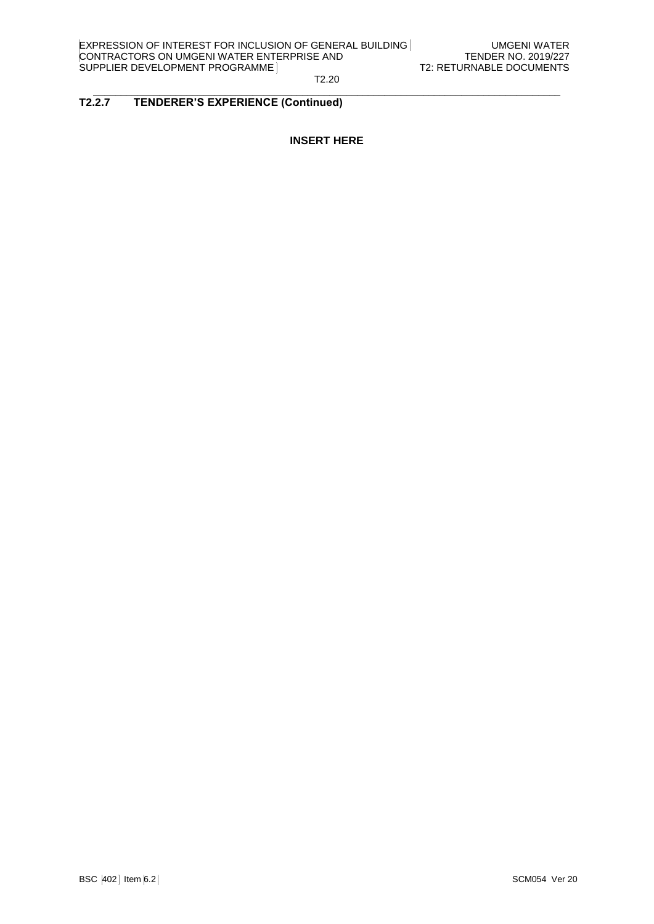#### $\_$  . The contribution of the contribution of the contribution of the contribution of the contribution of the contribution of the contribution of the contribution of the contribution of the contribution of the contributio **T2.2.7 TENDERER'S EXPERIENCE (Continued)**

# **INSERT HERE**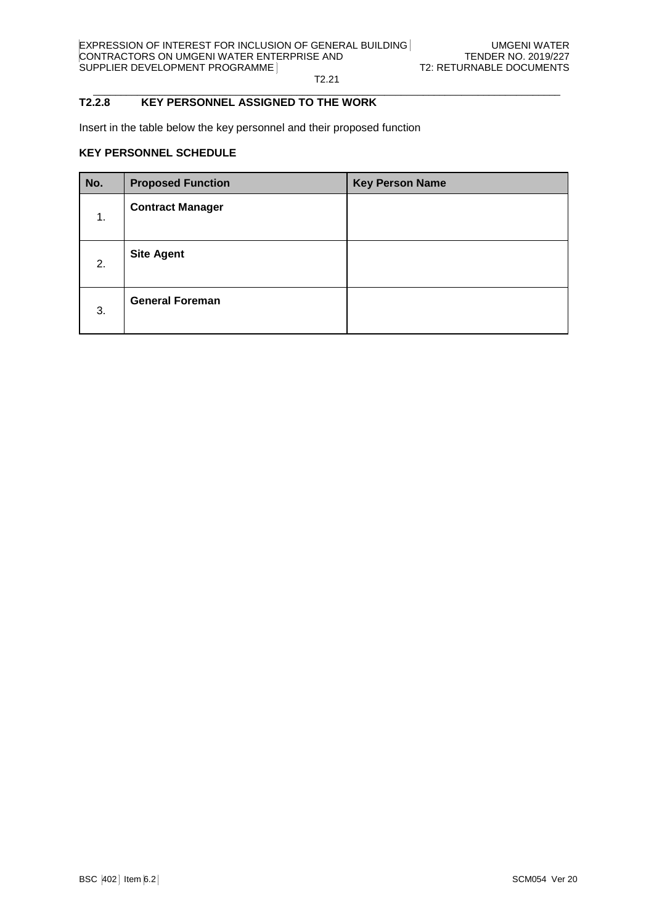#### $\_$  . The contribution of the contribution of the contribution of the contribution of the contribution of the contribution of the contribution of the contribution of the contribution of the contribution of the contributio **T2.2.8 KEY PERSONNEL ASSIGNED TO THE WORK**

Insert in the table below the key personnel and their proposed function

### **KEY PERSONNEL SCHEDULE**

| No. | <b>Proposed Function</b> | <b>Key Person Name</b> |
|-----|--------------------------|------------------------|
| 1.  | <b>Contract Manager</b>  |                        |
| 2.  | <b>Site Agent</b>        |                        |
| 3.  | <b>General Foreman</b>   |                        |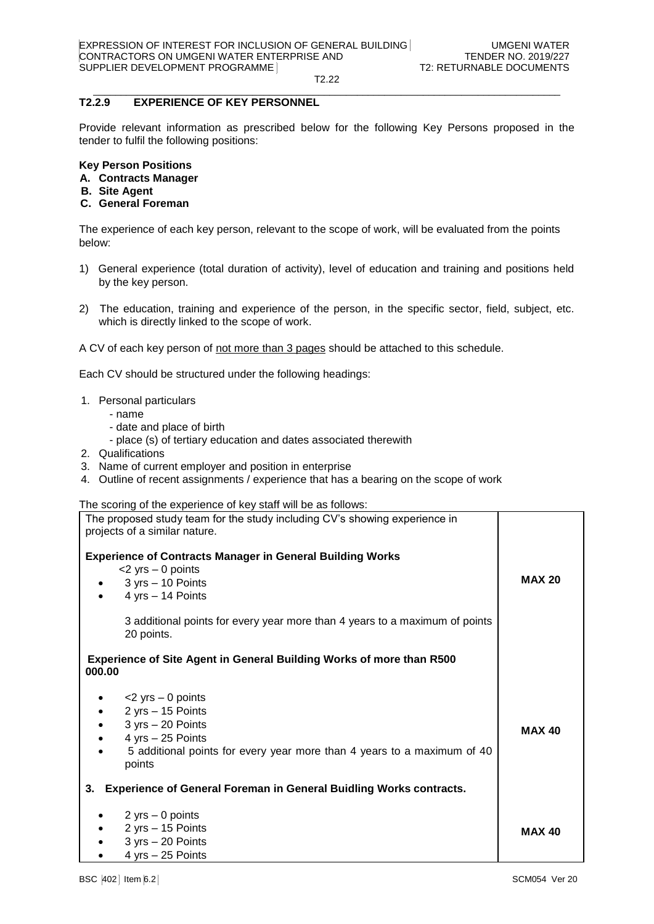#### $\_$  . The contribution of the contribution of the contribution of the contribution of the contribution of the contribution of the contribution of the contribution of the contribution of the contribution of the contributio **T2.2.9 EXPERIENCE OF KEY PERSONNEL**

Provide relevant information as prescribed below for the following Key Persons proposed in the tender to fulfil the following positions:

### **Key Person Positions**

- **A. Contracts Manager**
- **B. Site Agent**
- **C. General Foreman**

The experience of each key person, relevant to the scope of work, will be evaluated from the points below:

- 1) General experience (total duration of activity), level of education and training and positions held by the key person.
- 2) The education, training and experience of the person, in the specific sector, field, subject, etc. which is directly linked to the scope of work.

A CV of each key person of not more than 3 pages should be attached to this schedule.

Each CV should be structured under the following headings:

- 1. Personal particulars
	- name
	- date and place of birth
	- place (s) of tertiary education and dates associated therewith
- 2. Qualifications
- 3. Name of current employer and position in enterprise
- 4. Outline of recent assignments / experience that has a bearing on the scope of work

The scoring of the experience of key staff will be as follows:

| The proposed study team for the study including CV's showing experience in<br>projects of a similar nature.                                                                                               |               |
|-----------------------------------------------------------------------------------------------------------------------------------------------------------------------------------------------------------|---------------|
| <b>Experience of Contracts Manager in General Building Works</b><br>$<$ 2 yrs $-$ 0 points<br>3 yrs – 10 Points<br>4 yrs - 14 Points                                                                      | <b>MAX 20</b> |
| 3 additional points for every year more than 4 years to a maximum of points<br>20 points.                                                                                                                 |               |
| <b>Experience of Site Agent in General Building Works of more than R500</b><br>000.00                                                                                                                     |               |
| $<$ 2 yrs $-$ 0 points<br>2 yrs - 15 Points<br>$\bullet$<br>$3 yrs - 20$ Points<br>$\bullet$<br>$4$ yrs $-25$ Points<br>5 additional points for every year more than 4 years to a maximum of 40<br>points | <b>MAX 40</b> |
| <b>Experience of General Foreman in General Buidling Works contracts.</b><br>3.                                                                                                                           |               |
| 2 yrs $-$ 0 points<br>$2$ yrs $-15$ Points<br>$3 yrs - 20$ Points<br>$4$ yrs $-25$ Points                                                                                                                 | <b>MAX 40</b> |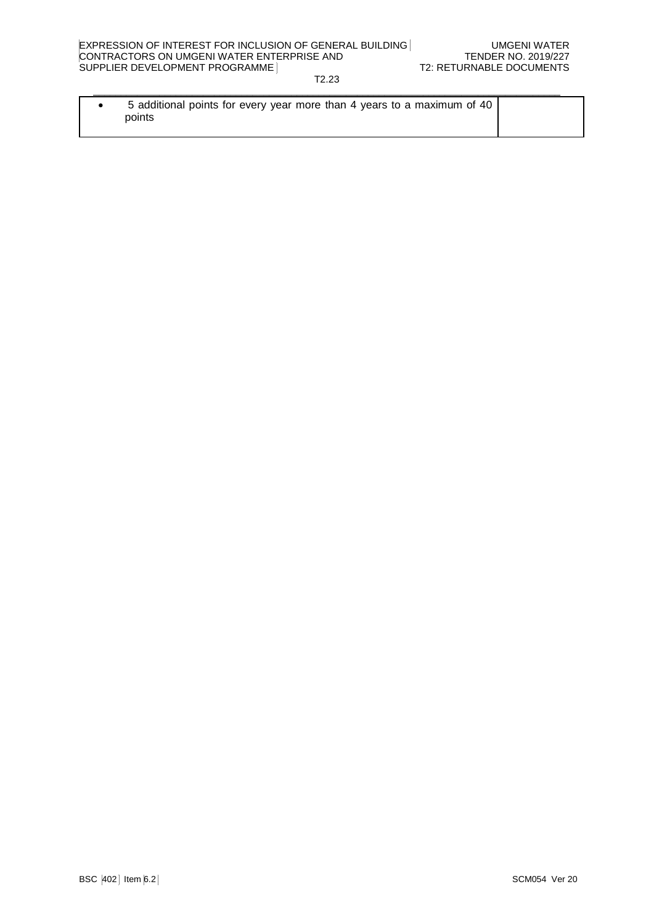| 5 additional points for every year more than 4 years to a maximum of 40 |  |
|-------------------------------------------------------------------------|--|
| points                                                                  |  |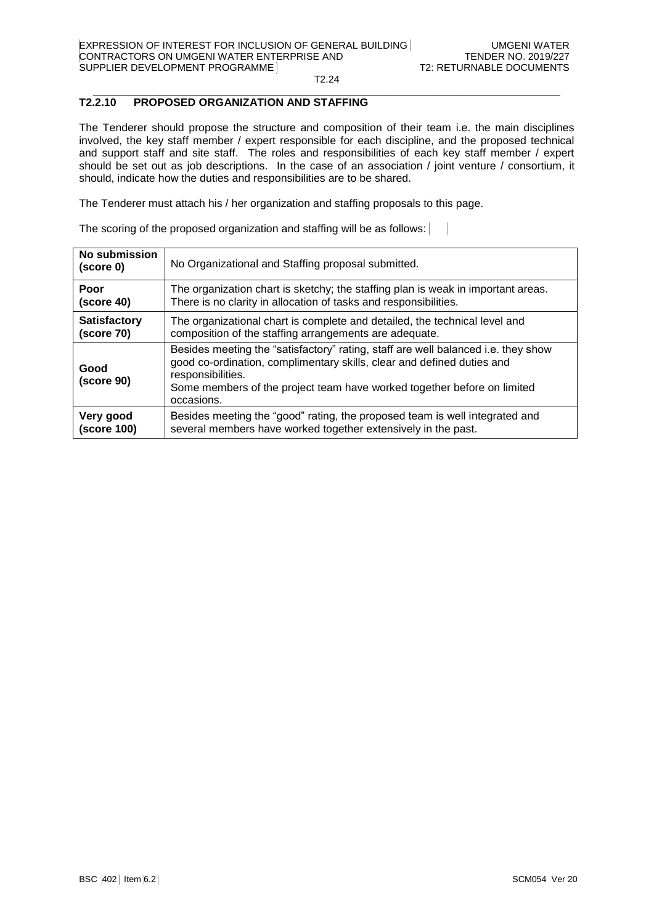#### $\_$  . The contribution of the contribution of the contribution of the contribution of the contribution of the contribution of the contribution of the contribution of the contribution of the contribution of the contributio **T2.2.10 PROPOSED ORGANIZATION AND STAFFING**

The Tenderer should propose the structure and composition of their team i.e. the main disciplines involved, the key staff member / expert responsible for each discipline, and the proposed technical and support staff and site staff. The roles and responsibilities of each key staff member / expert should be set out as job descriptions. In the case of an association / joint venture / consortium, it should, indicate how the duties and responsibilities are to be shared.

The Tenderer must attach his / her organization and staffing proposals to this page.

| <b>No submission</b><br>(score 0) | No Organizational and Staffing proposal submitted.                                                                                                                                                                                                                        |  |
|-----------------------------------|---------------------------------------------------------------------------------------------------------------------------------------------------------------------------------------------------------------------------------------------------------------------------|--|
| Poor                              | The organization chart is sketchy; the staffing plan is weak in important areas.                                                                                                                                                                                          |  |
| (score 40)                        | There is no clarity in allocation of tasks and responsibilities.                                                                                                                                                                                                          |  |
| <b>Satisfactory</b>               | The organizational chart is complete and detailed, the technical level and                                                                                                                                                                                                |  |
| (score 70)                        | composition of the staffing arrangements are adequate.                                                                                                                                                                                                                    |  |
| Good<br>(score 90)                | Besides meeting the "satisfactory" rating, staff are well balanced i.e. they show<br>good co-ordination, complimentary skills, clear and defined duties and<br>responsibilities.<br>Some members of the project team have worked together before on limited<br>occasions. |  |
| Very good                         | Besides meeting the "good" rating, the proposed team is well integrated and                                                                                                                                                                                               |  |
| (score 100)                       | several members have worked together extensively in the past.                                                                                                                                                                                                             |  |

The scoring of the proposed organization and staffing will be as follows:  $\mathcal{L}$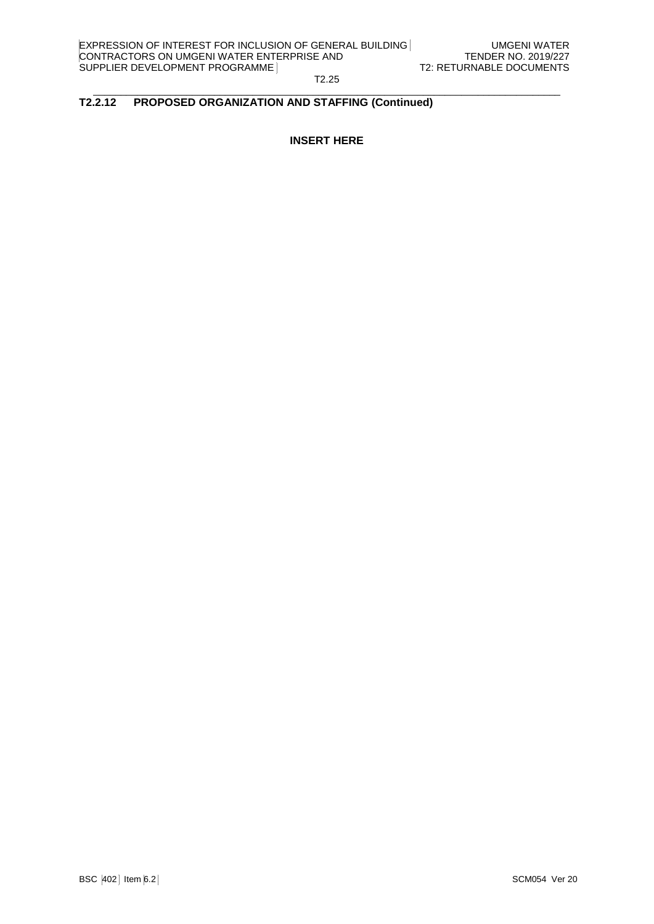T2.25  $\_$  . The contribution of the contribution of the contribution of the contribution of the contribution of the contribution of the contribution of the contribution of the contribution of the contribution of the contributio

### **T2.2.12 PROPOSED ORGANIZATION AND STAFFING (Continued)**

**INSERT HERE**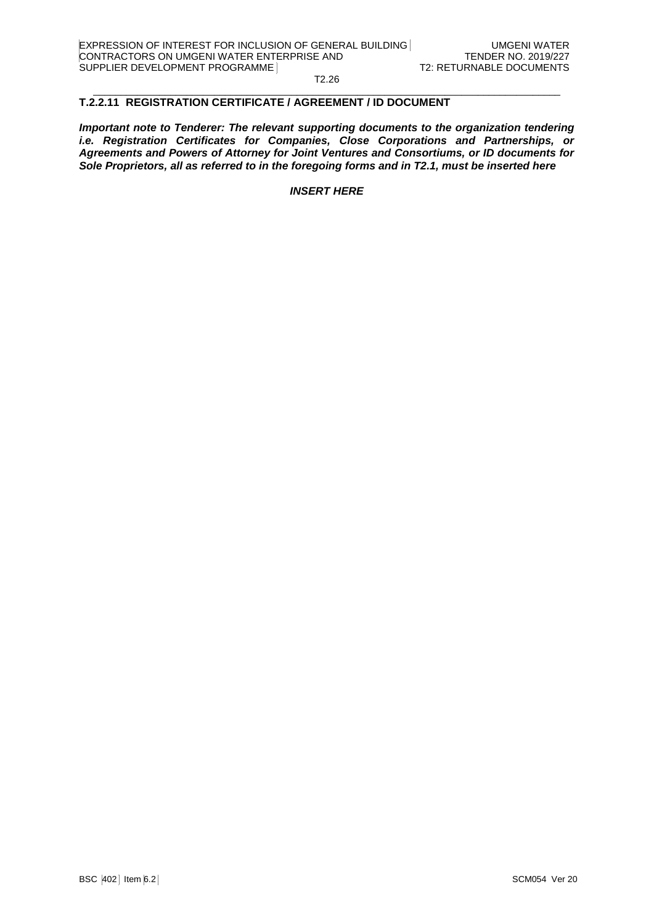#### $\_$  . The contribution of the contribution of the contribution of the contribution of the contribution of the contribution of the contribution of the contribution of the contribution of the contribution of the contributio **T.2.2.11 REGISTRATION CERTIFICATE / AGREEMENT / ID DOCUMENT**

*Important note to Tenderer: The relevant supporting documents to the organization tendering i.e. Registration Certificates for Companies, Close Corporations and Partnerships, or Agreements and Powers of Attorney for Joint Ventures and Consortiums, or ID documents for Sole Proprietors, all as referred to in the foregoing forms and in T2.1, must be inserted here*

*INSERT HERE*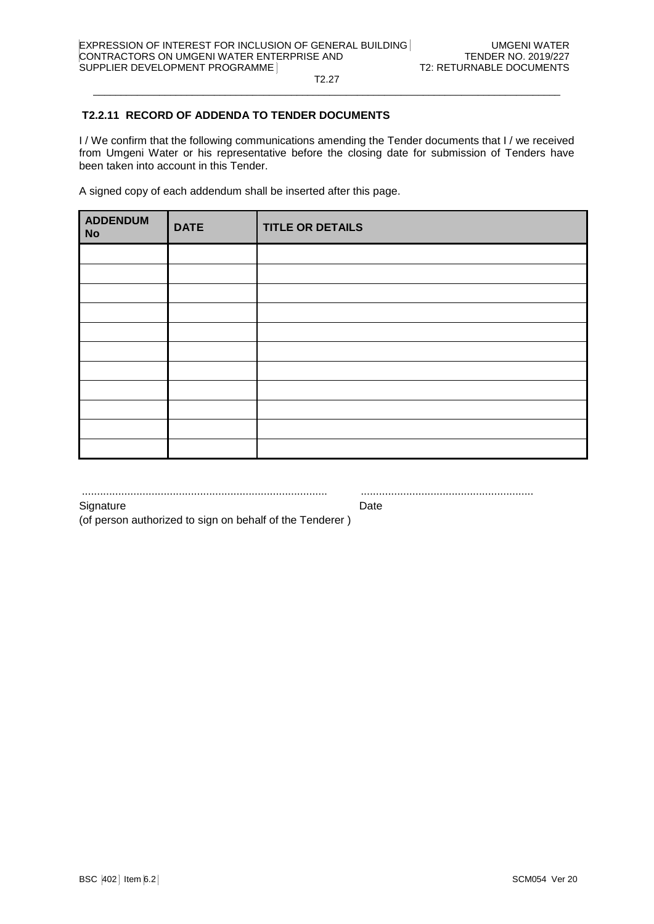T2.27  $\_$  . The contribution of the contribution of the contribution of the contribution of the contribution of the contribution of the contribution of the contribution of the contribution of the contribution of the contributio

# **T2.2.11 RECORD OF ADDENDA TO TENDER DOCUMENTS**

I / We confirm that the following communications amending the Tender documents that I / we received from Umgeni Water or his representative before the closing date for submission of Tenders have been taken into account in this Tender.

A signed copy of each addendum shall be inserted after this page.

| <b>ADDENDUM</b><br><b>No</b> | <b>DATE</b> | <b>TITLE OR DETAILS</b> |
|------------------------------|-------------|-------------------------|
|                              |             |                         |
|                              |             |                         |
|                              |             |                         |
|                              |             |                         |
|                              |             |                         |
|                              |             |                         |
|                              |             |                         |
|                              |             |                         |
|                              |             |                         |
|                              |             |                         |
|                              |             |                         |

................................................................................. .........................................................

Signature Date

(of person authorized to sign on behalf of the Tenderer )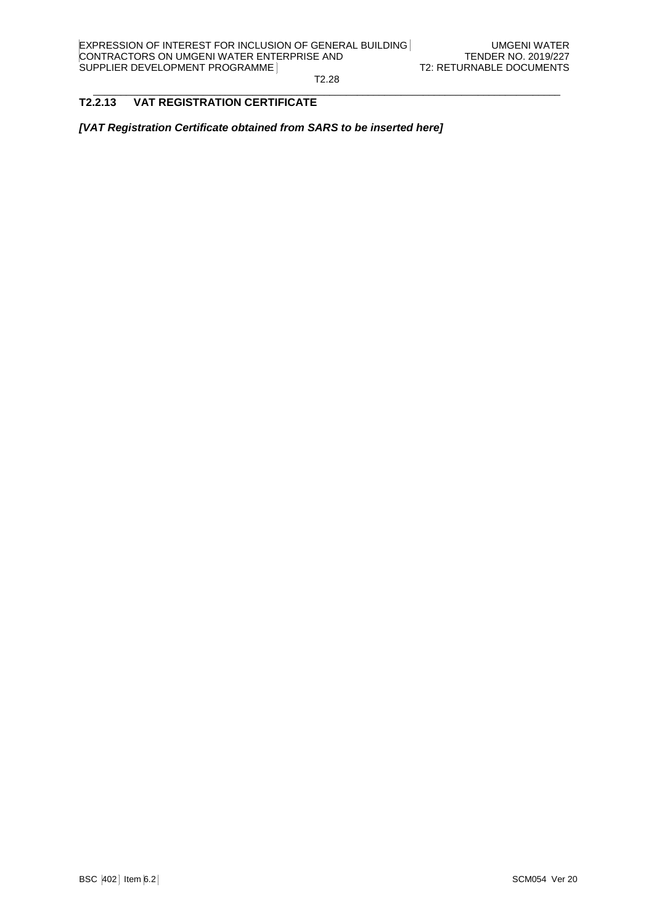#### $\_$  . The contribution of the contribution of the contribution of the contribution of the contribution of the contribution of the contribution of the contribution of the contribution of the contribution of the contributio **T2.2.13 VAT REGISTRATION CERTIFICATE**

*[VAT Registration Certificate obtained from SARS to be inserted here]*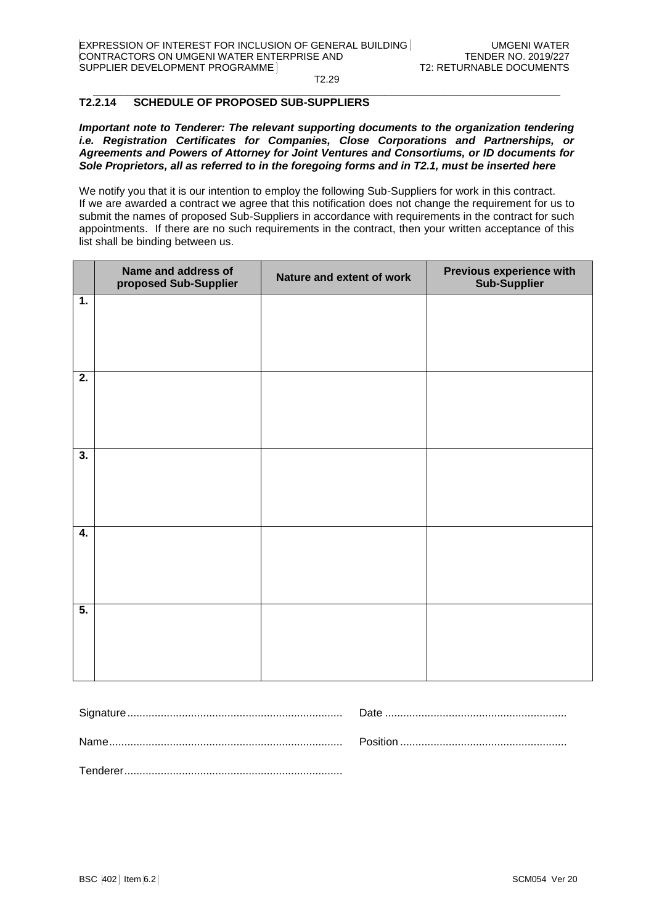#### $\_$  . The contribution of the contribution of the contribution of the contribution of the contribution of the contribution of the contribution of the contribution of the contribution of the contribution of the contributio **T2.2.14 SCHEDULE OF PROPOSED SUB-SUPPLIERS**

*Important note to Tenderer: The relevant supporting documents to the organization tendering i.e. Registration Certificates for Companies, Close Corporations and Partnerships, or Agreements and Powers of Attorney for Joint Ventures and Consortiums, or ID documents for Sole Proprietors, all as referred to in the foregoing forms and in T2.1, must be inserted here*

We notify you that it is our intention to employ the following Sub-Suppliers for work in this contract. If we are awarded a contract we agree that this notification does not change the requirement for us to submit the names of proposed Sub-Suppliers in accordance with requirements in the contract for such appointments. If there are no such requirements in the contract, then your written acceptance of this list shall be binding between us.

|                           | Name and address of<br>proposed Sub-Supplier | Nature and extent of work | Previous experience with<br><b>Sub-Supplier</b> |
|---------------------------|----------------------------------------------|---------------------------|-------------------------------------------------|
| $\overline{1}$ .          |                                              |                           |                                                 |
| $\overline{2}$ .          |                                              |                           |                                                 |
| $\overline{\mathbf{3}}$ . |                                              |                           |                                                 |
| $\overline{4}$ .          |                                              |                           |                                                 |
| $\overline{5}$ .          |                                              |                           |                                                 |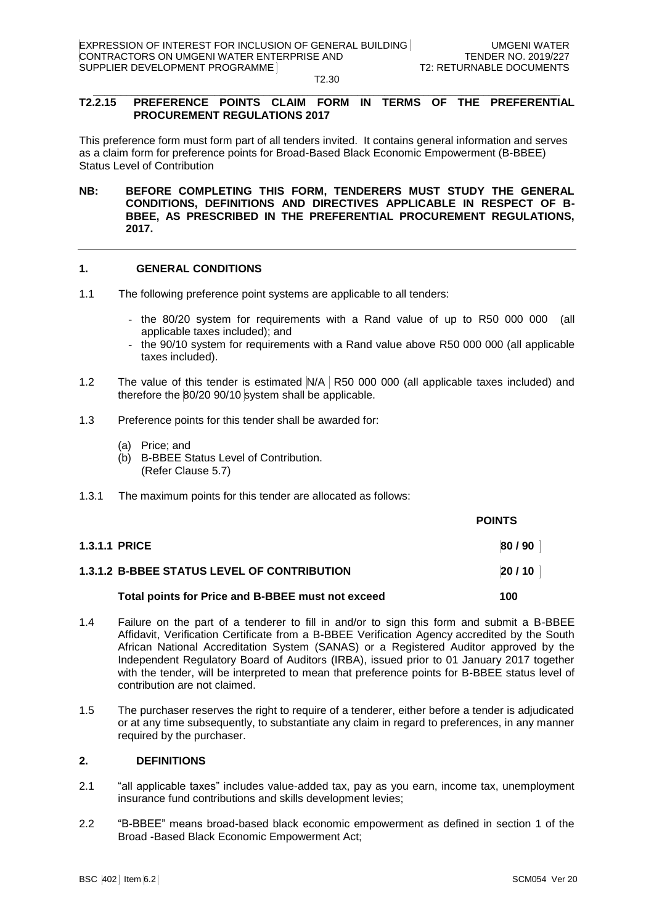#### $\_$  . The contribution of the contribution of the contribution of the contribution of the contribution of the contribution of the contribution of the contribution of the contribution of the contribution of the contributio **T2.2.15 PREFERENCE POINTS CLAIM FORM IN TERMS OF THE PREFERENTIAL PROCUREMENT REGULATIONS 2017**

This preference form must form part of all tenders invited. It contains general information and serves as a claim form for preference points for Broad-Based Black Economic Empowerment (B-BBEE) Status Level of Contribution

**NB: BEFORE COMPLETING THIS FORM, TENDERERS MUST STUDY THE GENERAL CONDITIONS, DEFINITIONS AND DIRECTIVES APPLICABLE IN RESPECT OF B-BBEE, AS PRESCRIBED IN THE PREFERENTIAL PROCUREMENT REGULATIONS, 2017.** 

# **1. GENERAL CONDITIONS**

- 1.1 The following preference point systems are applicable to all tenders:
	- the 80/20 system for requirements with a Rand value of up to R50 000 000 (all applicable taxes included); and
	- the 90/10 system for requirements with a Rand value above R50 000 000 (all applicable taxes included).
- 1.2 The value of this tender is estimated N/A R50 000 000 (all applicable taxes included) and therefore the 80/20 90/10 system shall be applicable.
- 1.3 Preference points for this tender shall be awarded for:
	- (a) Price; and
	- (b) B-BBEE Status Level of Contribution. (Refer Clause 5.7)
- 1.3.1 The maximum points for this tender are allocated as follows:

|                                                    | <b>POINTS</b> |
|----------------------------------------------------|---------------|
| <b>1.3.1.1 PRICE</b>                               | 80/90         |
| <b>1.3.1.2 B-BBEE STATUS LEVEL OF CONTRIBUTION</b> | 20/10         |
| Total points for Price and B-BBEE must not exceed  | 100           |

- 1.4 Failure on the part of a tenderer to fill in and/or to sign this form and submit a B-BBEE Affidavit, Verification Certificate from a B-BBEE Verification Agency accredited by the South African National Accreditation System (SANAS) or a Registered Auditor approved by the Independent Regulatory Board of Auditors (IRBA), issued prior to 01 January 2017 together with the tender, will be interpreted to mean that preference points for B-BBEE status level of contribution are not claimed.
- 1.5 The purchaser reserves the right to require of a tenderer, either before a tender is adjudicated or at any time subsequently, to substantiate any claim in regard to preferences, in any manner required by the purchaser.

### **2. DEFINITIONS**

- 2.1 "all applicable taxes" includes value-added tax, pay as you earn, income tax, unemployment insurance fund contributions and skills development levies;
- 2.2 "B-BBEE" means broad-based black economic empowerment as defined in section 1 of the Broad -Based Black Economic Empowerment Act;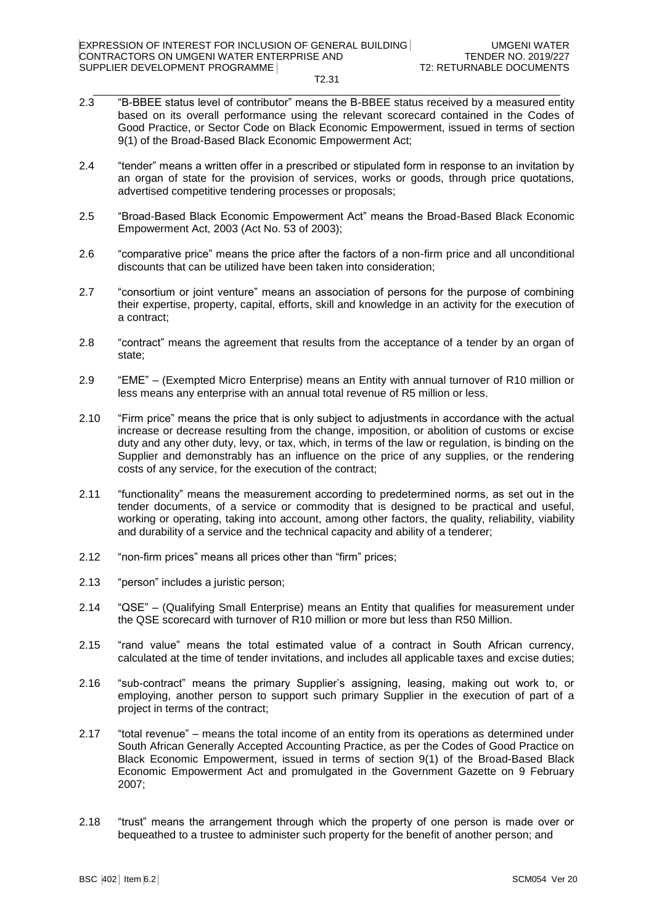#### T2.31  $\_$  . The contribution of the contribution of the contribution of the contribution of the contribution of the contribution of the contribution of the contribution of the contribution of the contribution of the contributio

- 2.3 "B-BBEE status level of contributor" means the B-BBEE status received by a measured entity based on its overall performance using the relevant scorecard contained in the Codes of Good Practice, or Sector Code on Black Economic Empowerment, issued in terms of section 9(1) of the Broad-Based Black Economic Empowerment Act;
- 2.4 "tender" means a written offer in a prescribed or stipulated form in response to an invitation by an organ of state for the provision of services, works or goods, through price quotations, advertised competitive tendering processes or proposals;
- 2.5 "Broad-Based Black Economic Empowerment Act" means the Broad-Based Black Economic Empowerment Act, 2003 (Act No. 53 of 2003);
- 2.6 "comparative price" means the price after the factors of a non-firm price and all unconditional discounts that can be utilized have been taken into consideration;
- 2.7 "consortium or joint venture" means an association of persons for the purpose of combining their expertise, property, capital, efforts, skill and knowledge in an activity for the execution of a contract;
- 2.8 "contract" means the agreement that results from the acceptance of a tender by an organ of state;
- 2.9 "EME" (Exempted Micro Enterprise) means an Entity with annual turnover of R10 million or less means any enterprise with an annual total revenue of R5 million or less.
- 2.10 "Firm price" means the price that is only subject to adjustments in accordance with the actual increase or decrease resulting from the change, imposition, or abolition of customs or excise duty and any other duty, levy, or tax, which, in terms of the law or regulation, is binding on the Supplier and demonstrably has an influence on the price of any supplies, or the rendering costs of any service, for the execution of the contract;
- 2.11 "functionality" means the measurement according to predetermined norms, as set out in the tender documents, of a service or commodity that is designed to be practical and useful, working or operating, taking into account, among other factors, the quality, reliability, viability and durability of a service and the technical capacity and ability of a tenderer;
- 2.12 "non-firm prices" means all prices other than "firm" prices;
- 2.13 "person" includes a juristic person;
- 2.14 "QSE" (Qualifying Small Enterprise) means an Entity that qualifies for measurement under the QSE scorecard with turnover of R10 million or more but less than R50 Million.
- 2.15 "rand value" means the total estimated value of a contract in South African currency, calculated at the time of tender invitations, and includes all applicable taxes and excise duties;
- 2.16 "sub-contract" means the primary Supplier's assigning, leasing, making out work to, or employing, another person to support such primary Supplier in the execution of part of a project in terms of the contract;
- 2.17 "total revenue" means the total income of an entity from its operations as determined under South African Generally Accepted Accounting Practice, as per the Codes of Good Practice on Black Economic Empowerment, issued in terms of section 9(1) of the Broad-Based Black Economic Empowerment Act and promulgated in the Government Gazette on 9 February 2007;
- 2.18 "trust" means the arrangement through which the property of one person is made over or bequeathed to a trustee to administer such property for the benefit of another person; and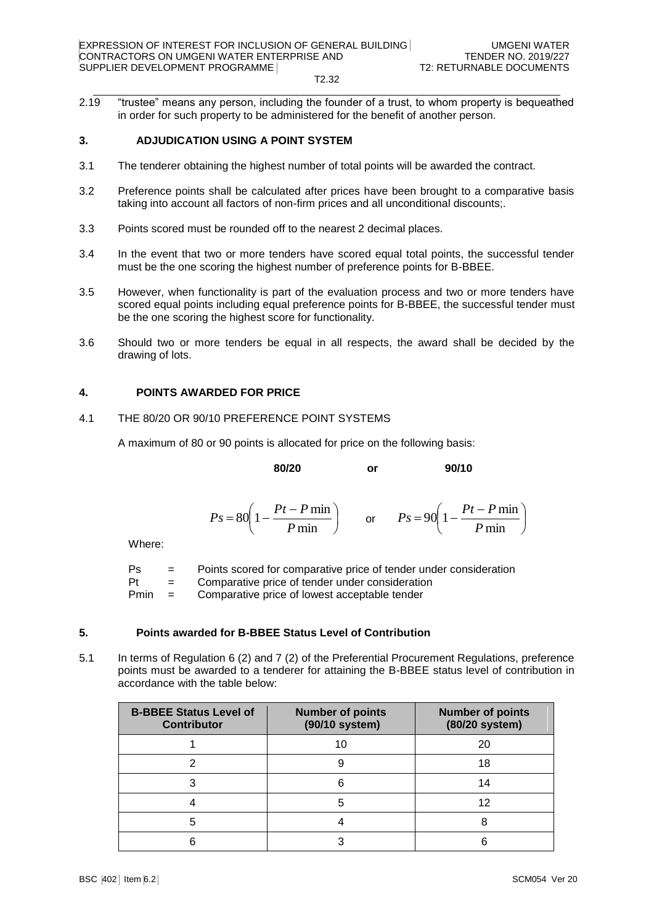T2.32  $\_$  . The contribution of the contribution of the contribution of the contribution of the contribution of the contribution of the contribution of the contribution of the contribution of the contribution of the contributio

2.19 "trustee" means any person, including the founder of a trust, to whom property is bequeathed in order for such property to be administered for the benefit of another person.

# **3. ADJUDICATION USING A POINT SYSTEM**

- 3.1 The tenderer obtaining the highest number of total points will be awarded the contract.
- 3.2 Preference points shall be calculated after prices have been brought to a comparative basis taking into account all factors of non-firm prices and all unconditional discounts;.
- 3.3 Points scored must be rounded off to the nearest 2 decimal places.
- 3.4 In the event that two or more tenders have scored equal total points, the successful tender must be the one scoring the highest number of preference points for B-BBEE.
- 3.5 However, when functionality is part of the evaluation process and two or more tenders have scored equal points including equal preference points for B-BBEE, the successful tender must be the one scoring the highest score for functionality.
- 3.6 Should two or more tenders be equal in all respects, the award shall be decided by the drawing of lots.

# **4. POINTS AWARDED FOR PRICE**

### 4.1 THE 80/20 OR 90/10 PREFERENCE POINT SYSTEMS

A maximum of 80 or 90 points is allocated for price on the following basis:

**80/20 or 90/10**

$$
Ps = 80 \left( 1 - \frac{Pt - P \min}{P \min} \right) \qquad \text{or} \qquad Ps = 90 \left( 1 - \frac{Pt - P \min}{P \min} \right)
$$

Where:

| Ps | $=$ | Points scored for comparative price of tender under consideration |
|----|-----|-------------------------------------------------------------------|
| Pt | $=$ | Comparative price of tender under consideration                   |

Pmin = Comparative price of lowest acceptable tender

# **5. Points awarded for B-BBEE Status Level of Contribution**

5.1 In terms of Regulation 6 (2) and 7 (2) of the Preferential Procurement Regulations, preference points must be awarded to a tenderer for attaining the B-BBEE status level of contribution in accordance with the table below:

| <b>B-BBEE Status Level of</b><br><b>Contributor</b> | <b>Number of points</b><br>(90/10 system) | <b>Number of points</b><br>(80/20 system) |
|-----------------------------------------------------|-------------------------------------------|-------------------------------------------|
|                                                     | 10                                        | 20                                        |
|                                                     |                                           | 18                                        |
|                                                     | հ                                         | 14                                        |
|                                                     | 5                                         | 12                                        |
|                                                     |                                           |                                           |
|                                                     |                                           |                                           |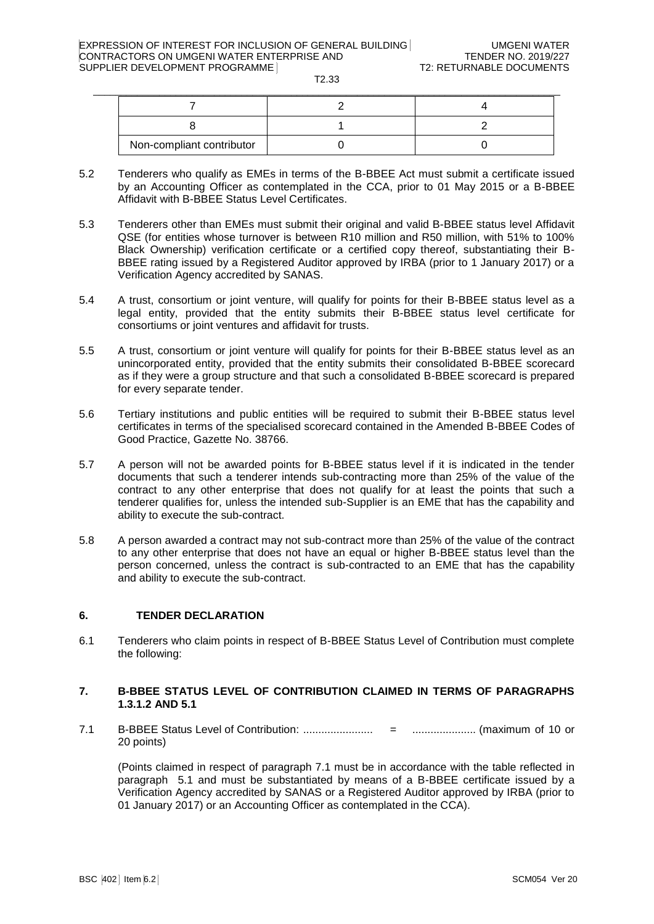| Non-compliant contributor |  |
|---------------------------|--|

- 5.2 Tenderers who qualify as EMEs in terms of the B-BBEE Act must submit a certificate issued by an Accounting Officer as contemplated in the CCA, prior to 01 May 2015 or a B-BBEE Affidavit with B-BBEE Status Level Certificates.
- 5.3 Tenderers other than EMEs must submit their original and valid B-BBEE status level Affidavit QSE (for entities whose turnover is between R10 million and R50 million, with 51% to 100% Black Ownership) verification certificate or a certified copy thereof, substantiating their B-BBEE rating issued by a Registered Auditor approved by IRBA (prior to 1 January 2017) or a Verification Agency accredited by SANAS.
- 5.4 A trust, consortium or joint venture, will qualify for points for their B-BBEE status level as a legal entity, provided that the entity submits their B-BBEE status level certificate for consortiums or joint ventures and affidavit for trusts.
- 5.5 A trust, consortium or joint venture will qualify for points for their B-BBEE status level as an unincorporated entity, provided that the entity submits their consolidated B-BBEE scorecard as if they were a group structure and that such a consolidated B-BBEE scorecard is prepared for every separate tender.
- 5.6 Tertiary institutions and public entities will be required to submit their B-BBEE status level certificates in terms of the specialised scorecard contained in the Amended B-BBEE Codes of Good Practice, Gazette No. 38766.
- 5.7 A person will not be awarded points for B-BBEE status level if it is indicated in the tender documents that such a tenderer intends sub-contracting more than 25% of the value of the contract to any other enterprise that does not qualify for at least the points that such a tenderer qualifies for, unless the intended sub-Supplier is an EME that has the capability and ability to execute the sub-contract.
- 5.8 A person awarded a contract may not sub-contract more than 25% of the value of the contract to any other enterprise that does not have an equal or higher B-BBEE status level than the person concerned, unless the contract is sub-contracted to an EME that has the capability and ability to execute the sub-contract.

# **6. TENDER DECLARATION**

6.1 Tenderers who claim points in respect of B-BBEE Status Level of Contribution must complete the following:

# **7. B-BBEE STATUS LEVEL OF CONTRIBUTION CLAIMED IN TERMS OF PARAGRAPHS 1.3.1.2 AND 5.1**

7.1 B-BBEE Status Level of Contribution: ....................... = ..................... (maximum of 10 or 20 points)

(Points claimed in respect of paragraph 7.1 must be in accordance with the table reflected in paragraph 5.1 and must be substantiated by means of a B-BBEE certificate issued by a Verification Agency accredited by SANAS or a Registered Auditor approved by IRBA (prior to 01 January 2017) or an Accounting Officer as contemplated in the CCA).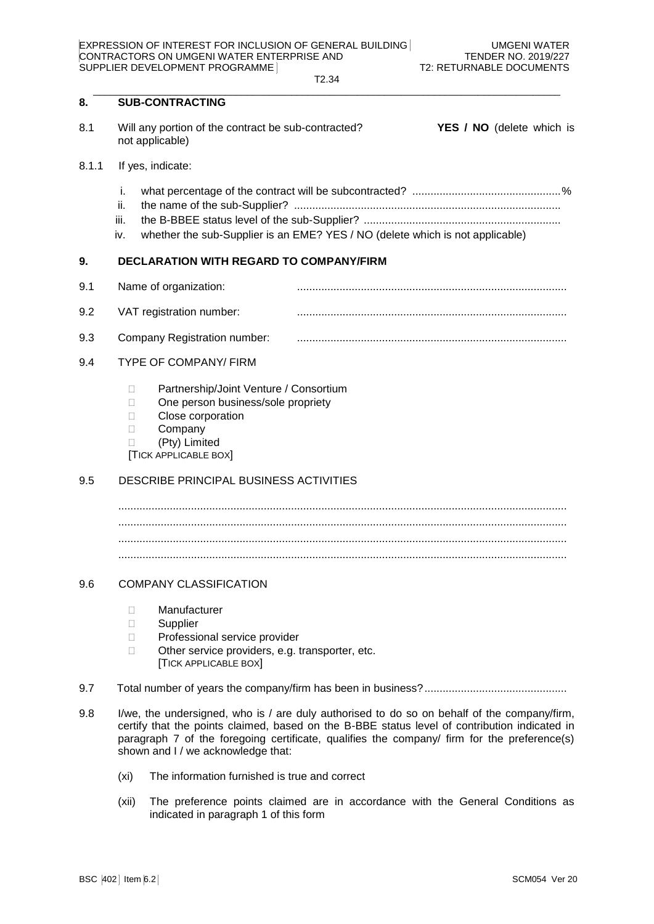T2.34  $\_$  . The contribution of the contribution of the contribution of the contribution of the contribution of the contribution of the contribution of the contribution of the contribution of the contribution of the contributio

# **8. SUB-CONTRACTING**

8.1 Will any portion of the contract be sub-contracted? **YES / NO** (delete which is not applicable)

### 8.1.1 If yes, indicate:

- i. what percentage of the contract will be subcontracted? .................................................%
- ii. the name of the sub-Supplier? ........................................................................................
- iii. the B-BBEE status level of the sub-Supplier? .................................................................
- iv. whether the sub-Supplier is an EME? YES / NO (delete which is not applicable)

### **9. DECLARATION WITH REGARD TO COMPANY/FIRM**

9.1 Name of organization: ......................................................................................... 9.2 VAT registration number:

9.3 Company Registration number: .........................................................................................

### 9.4 TYPE OF COMPANY/ FIRM

- □ Partnership/Joint Venture / Consortium
- □ One person business/sole propriety
- D Close corporation
- D Company
- (Pty) Limited

[TICK APPLICABLE BOX]

### 9.5 DESCRIBE PRINCIPAL BUSINESS ACTIVITIES

.................................................................................................................................................... .................................................................................................................................................... .................................................................................................................................................... ....................................................................................................................................................

### 9.6 COMPANY CLASSIFICATION

- Manufacturer
- Supplier
- □ Professional service provider
- $\Box$  Other service providers, e.g. transporter, etc. [TICK APPLICABLE BOX]
- 9.7 Total number of years the company/firm has been in business?...............................................
- 9.8 I/we, the undersigned, who is / are duly authorised to do so on behalf of the company/firm, certify that the points claimed, based on the B-BBE status level of contribution indicated in paragraph 7 of the foregoing certificate, qualifies the company/ firm for the preference(s) shown and I / we acknowledge that:
	- (xi) The information furnished is true and correct
	- (xii) The preference points claimed are in accordance with the General Conditions as indicated in paragraph 1 of this form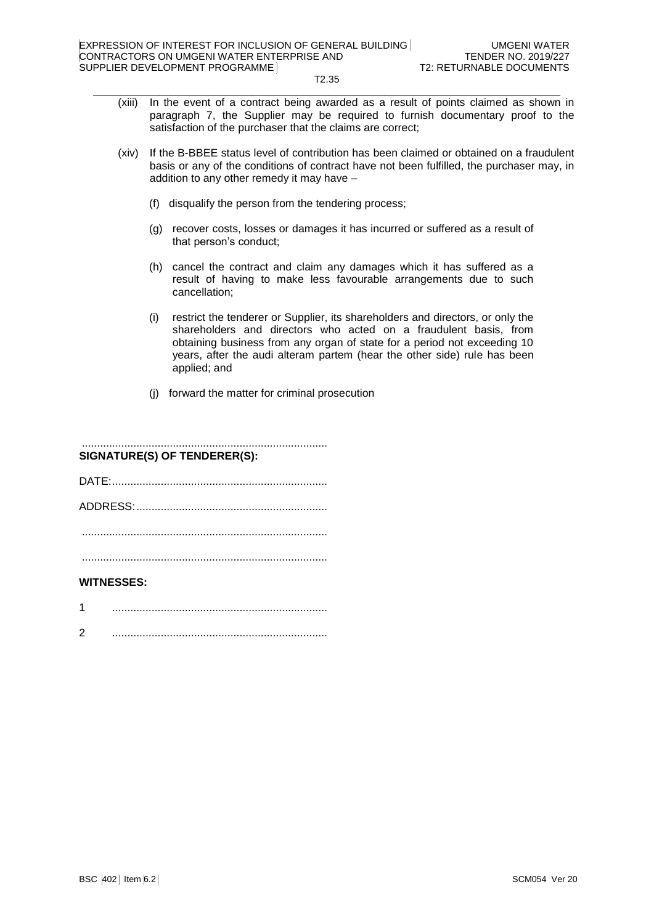- (xiii) In the event of a contract being awarded as a result of points claimed as shown in paragraph 7, the Supplier may be required to furnish documentary proof to the satisfaction of the purchaser that the claims are correct;
- (xiv) If the B-BBEE status level of contribution has been claimed or obtained on a fraudulent basis or any of the conditions of contract have not been fulfilled, the purchaser may, in addition to any other remedy it may have –
	- (f) disqualify the person from the tendering process;
	- (g) recover costs, losses or damages it has incurred or suffered as a result of that person's conduct;
	- (h) cancel the contract and claim any damages which it has suffered as a result of having to make less favourable arrangements due to such cancellation;
	- (i) restrict the tenderer or Supplier, its shareholders and directors, or only the shareholders and directors who acted on a fraudulent basis, from obtaining business from any organ of state for a period not exceeding 10 years, after the audi alteram partem (hear the other side) rule has been applied; and
	- (j) forward the matter for criminal prosecution

# ................................................................................. **SIGNATURE(S) OF TENDERER(S):** DATE:....................................................................... ADDRESS:............................................................... ................................................................................. .................................................................................

# **WITNESSES:**

- 1 .......................................................................
- 2 .......................................................................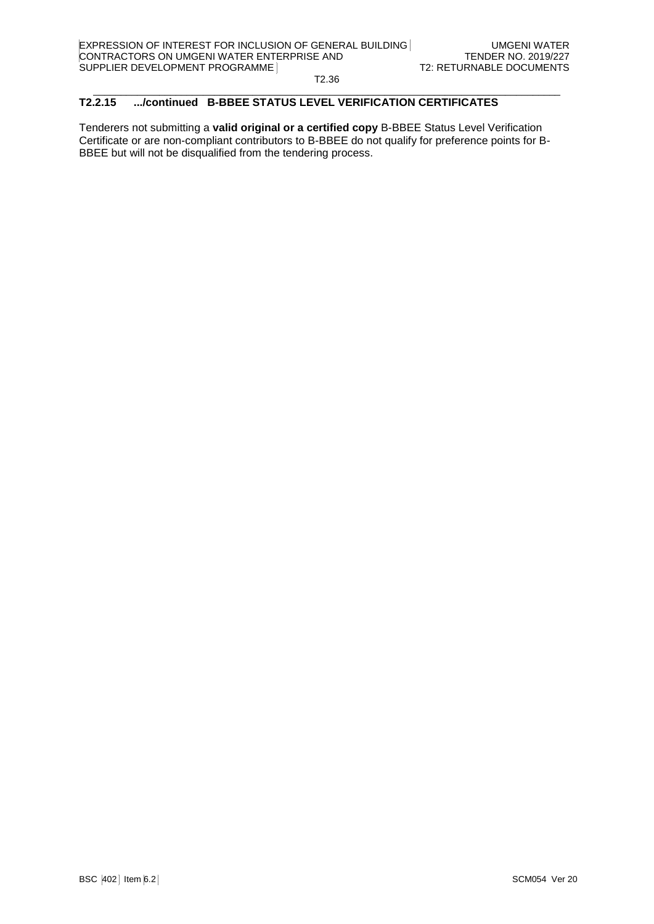#### $\_$  . The contribution of the contribution of the contribution of the contribution of the contribution of the contribution of the contribution of the contribution of the contribution of the contribution of the contributio **T2.2.15 .../continued B-BBEE STATUS LEVEL VERIFICATION CERTIFICATES**

Tenderers not submitting a **valid original or a certified copy** B-BBEE Status Level Verification Certificate or are non-compliant contributors to B-BBEE do not qualify for preference points for B-BBEE but will not be disqualified from the tendering process.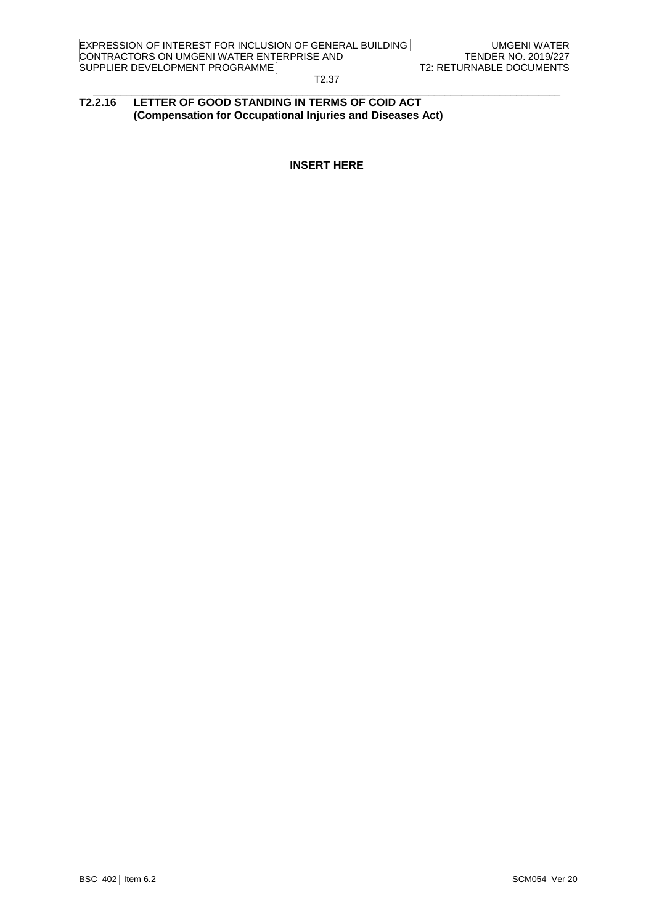#### T2.37  $\_$  . The contribution of the contribution of the contribution of the contribution of the contribution of the contribution of the contribution of the contribution of the contribution of the contribution of the contributio

# **T2.2.16 LETTER OF GOOD STANDING IN TERMS OF COID ACT (Compensation for Occupational Injuries and Diseases Act)**

**INSERT HERE**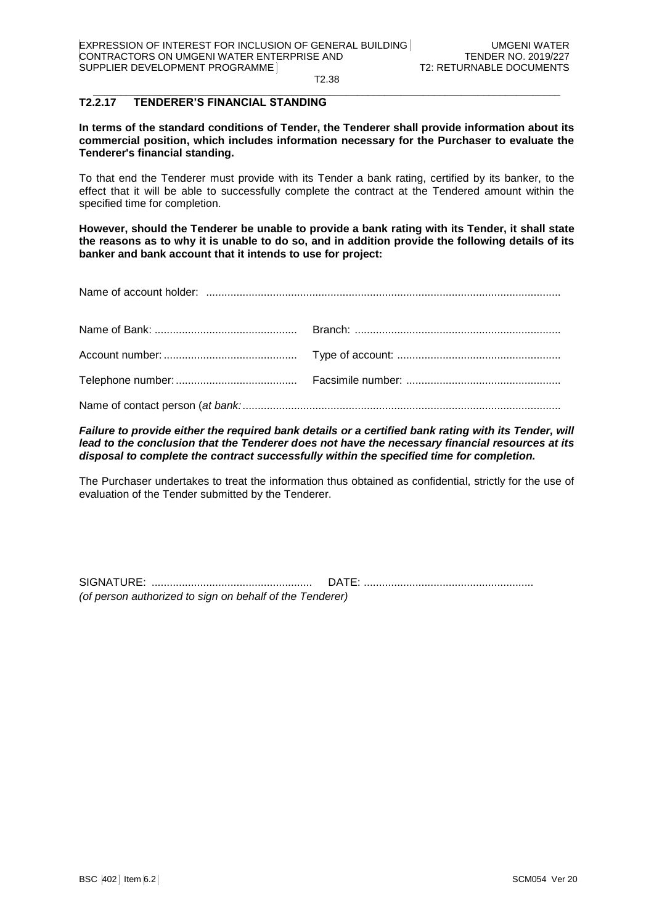#### $\_$  . The contribution of the contribution of the contribution of the contribution of the contribution of the contribution of the contribution of the contribution of the contribution of the contribution of the contributio **T2.2.17 TENDERER'S FINANCIAL STANDING**

**In terms of the standard conditions of Tender, the Tenderer shall provide information about its commercial position, which includes information necessary for the Purchaser to evaluate the Tenderer's financial standing.** 

To that end the Tenderer must provide with its Tender a bank rating, certified by its banker, to the effect that it will be able to successfully complete the contract at the Tendered amount within the specified time for completion.

**However, should the Tenderer be unable to provide a bank rating with its Tender, it shall state the reasons as to why it is unable to do so, and in addition provide the following details of its banker and bank account that it intends to use for project:**

| Name of account holder: |  |
|-------------------------|--|
|                         |  |

*Failure to provide either the required bank details or a certified bank rating with its Tender, will lead to the conclusion that the Tenderer does not have the necessary financial resources at its disposal to complete the contract successfully within the specified time for completion.*

The Purchaser undertakes to treat the information thus obtained as confidential, strictly for the use of evaluation of the Tender submitted by the Tenderer.

SIGNATURE: ..................................................... DATE: ........................................................ *(of person authorized to sign on behalf of the Tenderer)*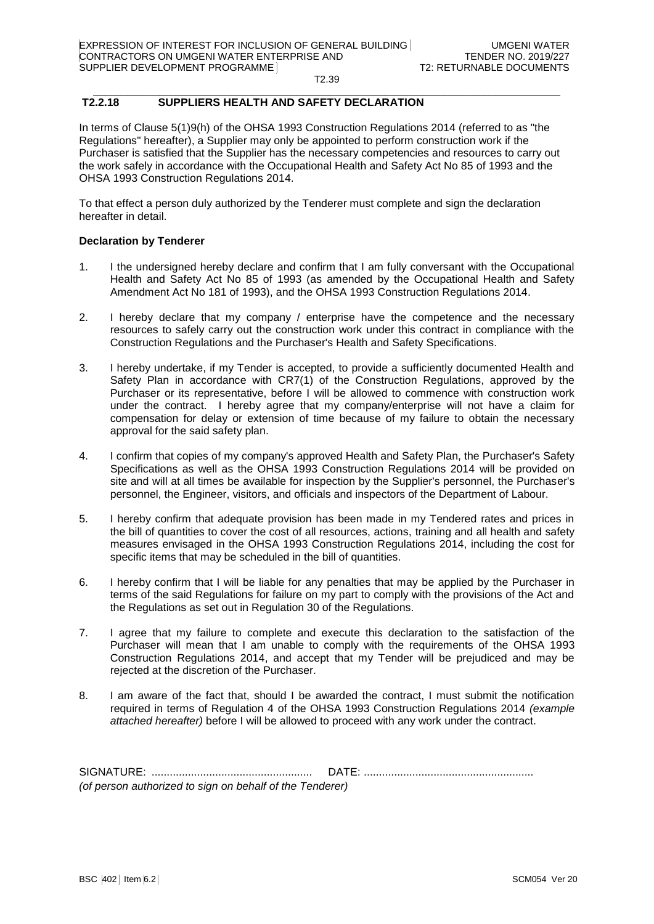#### $\_$  . The contribution of the contribution of the contribution of the contribution of the contribution of the contribution of the contribution of the contribution of the contribution of the contribution of the contributio **T2.2.18 SUPPLIERS HEALTH AND SAFETY DECLARATION**

In terms of Clause 5(1)9(h) of the OHSA 1993 Construction Regulations 2014 (referred to as "the Regulations" hereafter), a Supplier may only be appointed to perform construction work if the Purchaser is satisfied that the Supplier has the necessary competencies and resources to carry out the work safely in accordance with the Occupational Health and Safety Act No 85 of 1993 and the OHSA 1993 Construction Regulations 2014.

To that effect a person duly authorized by the Tenderer must complete and sign the declaration hereafter in detail.

# **Declaration by Tenderer**

- 1. I the undersigned hereby declare and confirm that I am fully conversant with the Occupational Health and Safety Act No 85 of 1993 (as amended by the Occupational Health and Safety Amendment Act No 181 of 1993), and the OHSA 1993 Construction Regulations 2014.
- 2. I hereby declare that my company / enterprise have the competence and the necessary resources to safely carry out the construction work under this contract in compliance with the Construction Regulations and the Purchaser's Health and Safety Specifications.
- 3. I hereby undertake, if my Tender is accepted, to provide a sufficiently documented Health and Safety Plan in accordance with CR7(1) of the Construction Regulations, approved by the Purchaser or its representative, before I will be allowed to commence with construction work under the contract. I hereby agree that my company/enterprise will not have a claim for compensation for delay or extension of time because of my failure to obtain the necessary approval for the said safety plan.
- 4. I confirm that copies of my company's approved Health and Safety Plan, the Purchaser's Safety Specifications as well as the OHSA 1993 Construction Regulations 2014 will be provided on site and will at all times be available for inspection by the Supplier's personnel, the Purchaser's personnel, the Engineer, visitors, and officials and inspectors of the Department of Labour.
- 5. I hereby confirm that adequate provision has been made in my Tendered rates and prices in the bill of quantities to cover the cost of all resources, actions, training and all health and safety measures envisaged in the OHSA 1993 Construction Regulations 2014, including the cost for specific items that may be scheduled in the bill of quantities.
- 6. I hereby confirm that I will be liable for any penalties that may be applied by the Purchaser in terms of the said Regulations for failure on my part to comply with the provisions of the Act and the Regulations as set out in Regulation 30 of the Regulations.
- 7. I agree that my failure to complete and execute this declaration to the satisfaction of the Purchaser will mean that I am unable to comply with the requirements of the OHSA 1993 Construction Regulations 2014, and accept that my Tender will be prejudiced and may be rejected at the discretion of the Purchaser.
- 8. I am aware of the fact that, should I be awarded the contract, I must submit the notification required in terms of Regulation 4 of the OHSA 1993 Construction Regulations 2014 *(example attached hereafter)* before I will be allowed to proceed with any work under the contract.

SIGNATURE: ..................................................... DATE: ........................................................ *(of person authorized to sign on behalf of the Tenderer)*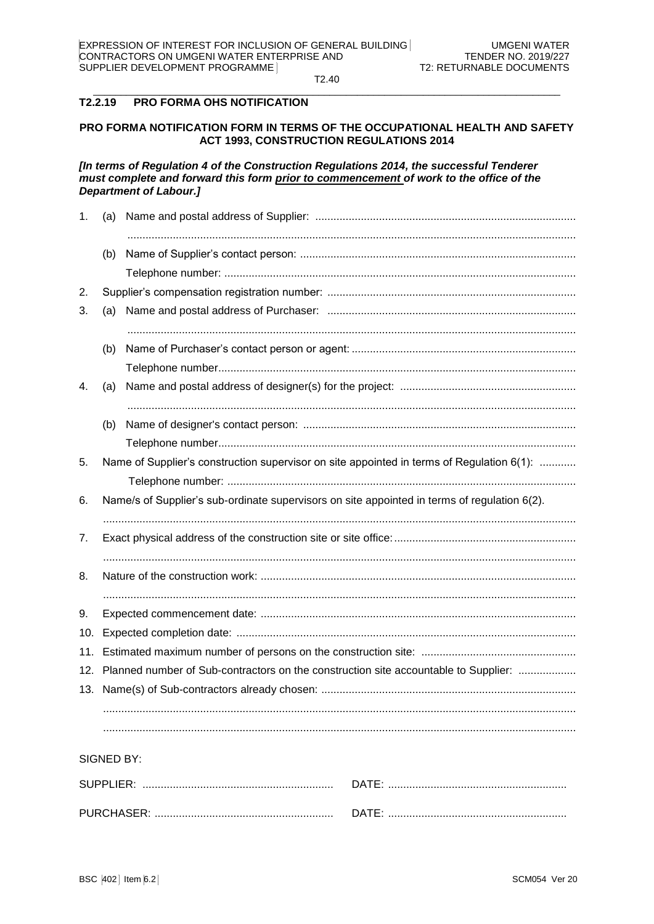#### $T2.2.19$ **PRO FORMA OHS NOTIFICATION**

# PRO FORMA NOTIFICATION FORM IN TERMS OF THE OCCUPATIONAL HEALTH AND SAFETY **ACT 1993. CONSTRUCTION REGULATIONS 2014**

[In terms of Regulation 4 of the Construction Regulations 2014, the successful Tenderer must complete and forward this form prior to commencement of work to the office of the **Department of Labour.]** 

| 1.  | (a)        |                                                                                              |
|-----|------------|----------------------------------------------------------------------------------------------|
|     | (b)        |                                                                                              |
|     |            |                                                                                              |
| 2.  |            |                                                                                              |
| 3.  | (a)        |                                                                                              |
|     | (b)        |                                                                                              |
|     |            |                                                                                              |
| 4.  | (a)        |                                                                                              |
|     | (b)        |                                                                                              |
|     |            |                                                                                              |
| 5.  |            | Name of Supplier's construction supervisor on site appointed in terms of Regulation 6(1):    |
|     |            |                                                                                              |
| 6.  |            | Name/s of Supplier's sub-ordinate supervisors on site appointed in terms of regulation 6(2). |
| 7.  |            |                                                                                              |
| 8.  |            |                                                                                              |
|     |            |                                                                                              |
| 9.  |            |                                                                                              |
| 10. |            |                                                                                              |
| 11. |            |                                                                                              |
| 12. |            | Planned number of Sub-contractors on the construction site accountable to Supplier:          |
|     |            |                                                                                              |
|     |            |                                                                                              |
|     | SIGNED BY: |                                                                                              |

| SUPPIIFR <sup>1</sup> |  |
|-----------------------|--|
| PI IRCHASHY'          |  |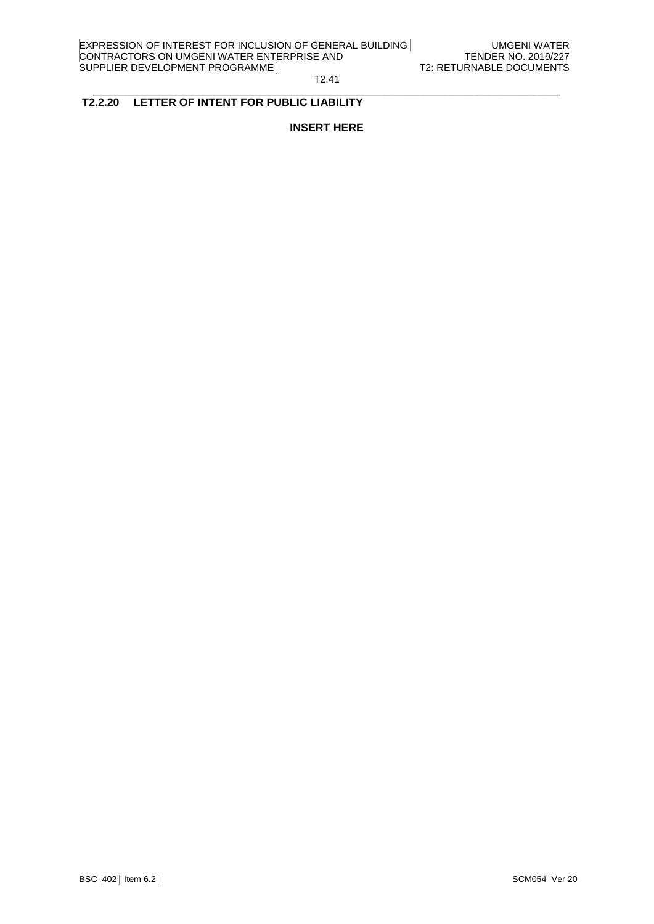#### T2.41  $\_$  . The contribution of the contribution of the contribution of the contribution of the contribution of the contribution of the contribution of the contribution of the contribution of the contribution of the contributio

# **T2.2.20 LETTER OF INTENT FOR PUBLIC LIABILITY**

**INSERT HERE**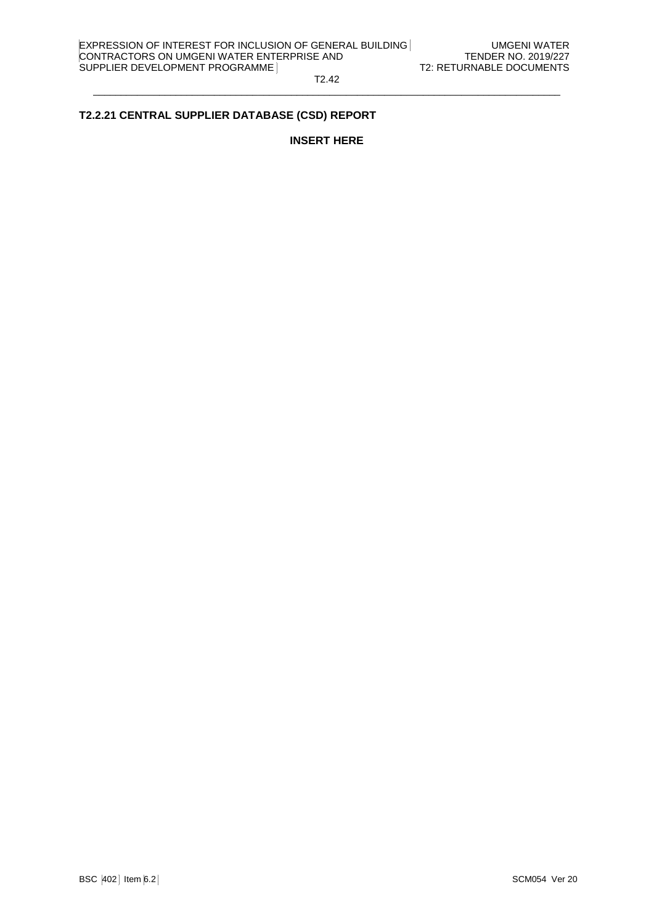T2.42  $\_$  . The contribution of the contribution of the contribution of the contribution of the contribution of the contribution of the contribution of the contribution of the contribution of the contribution of the contributio

# **T2.2.21 CENTRAL SUPPLIER DATABASE (CSD) REPORT**

# **INSERT HERE**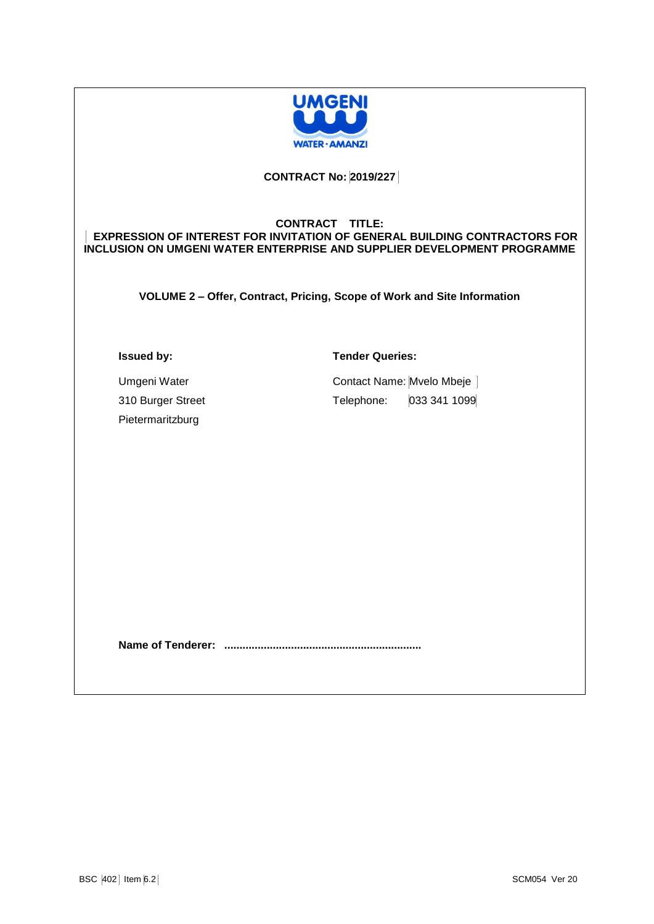

# **CONTRACT No: 2019/227**

# **CONTRACT TITLE: EXPRESSION OF INTEREST FOR INVITATION OF GENERAL BUILDING CONTRACTORS FOR INCLUSION ON UMGENI WATER ENTERPRISE AND SUPPLIER DEVELOPMENT PROGRAMME**

**VOLUME 2 – Offer, Contract, Pricing, Scope of Work and Site Information**

### **Issued by:**

**Tender Queries:**

Umgeni Water 310 Burger Street Pietermaritzburg

Contact Name: Mvelo Mbeje Telephone: 033 341 1099

**Name of Tenderer: .................................................................**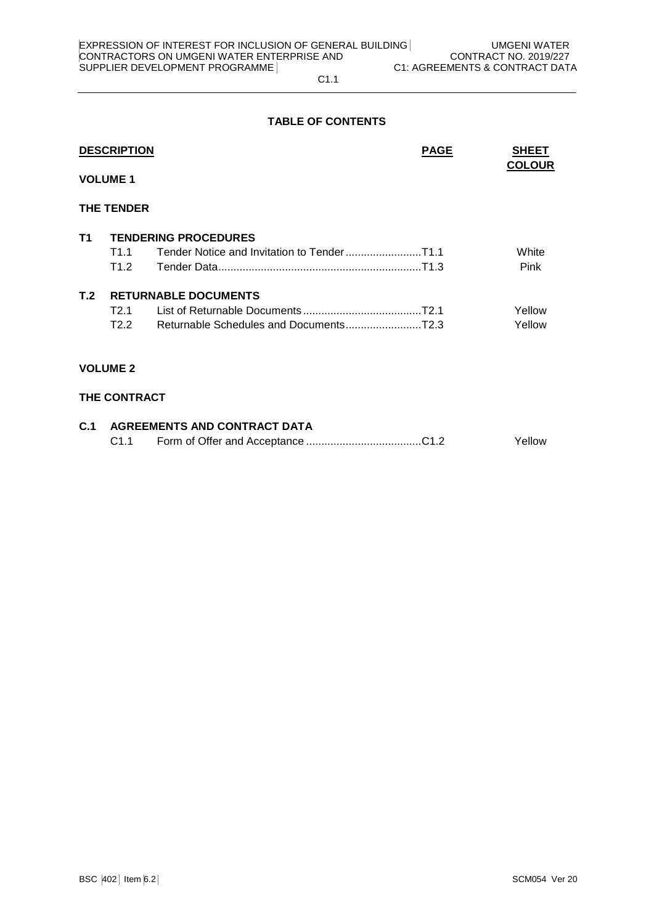# **TABLE OF CONTENTS**

|     | <b>DESCRIPTION</b>  |                             | <b>PAGE</b> | <b>SHEET</b><br><b>COLOUR</b> |
|-----|---------------------|-----------------------------|-------------|-------------------------------|
|     | <b>VOLUME 1</b>     |                             |             |                               |
|     | <b>THE TENDER</b>   |                             |             |                               |
| T1  |                     | <b>TENDERING PROCEDURES</b> |             |                               |
|     | T1.1                |                             |             | White                         |
|     | T1.2                |                             |             | Pink                          |
| T.2 |                     | <b>RETURNABLE DOCUMENTS</b> |             |                               |
|     | T2.1                |                             |             | Yellow                        |
|     | T2.2                |                             |             | Yellow                        |
|     | <b>VOLUME 2</b>     |                             |             |                               |
|     | <b>THE CONTRACT</b> |                             |             |                               |

| <b>C.1 AGREEMENTS AND CONTRACT DATA</b> |  |        |  |
|-----------------------------------------|--|--------|--|
|                                         |  | Yellow |  |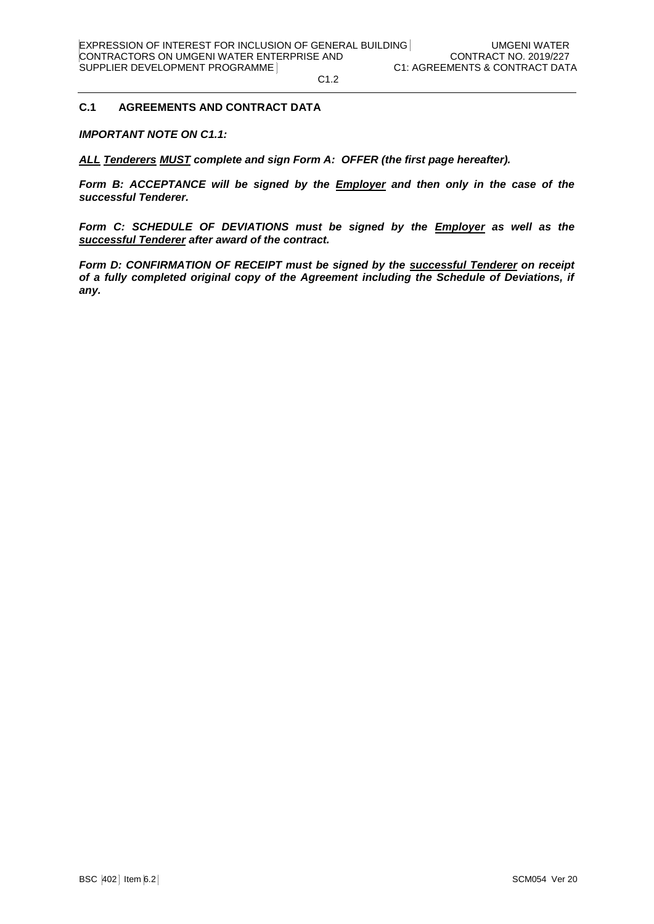### **C.1 AGREEMENTS AND CONTRACT DATA**

*IMPORTANT NOTE ON C1.1:*

*ALL Tenderers MUST complete and sign Form A: OFFER (the first page hereafter).*

*Form B: ACCEPTANCE will be signed by the Employer and then only in the case of the successful Tenderer.*

*Form C: SCHEDULE OF DEVIATIONS must be signed by the Employer as well as the successful Tenderer after award of the contract.*

*Form D: CONFIRMATION OF RECEIPT must be signed by the successful Tenderer on receipt of a fully completed original copy of the Agreement including the Schedule of Deviations, if any.*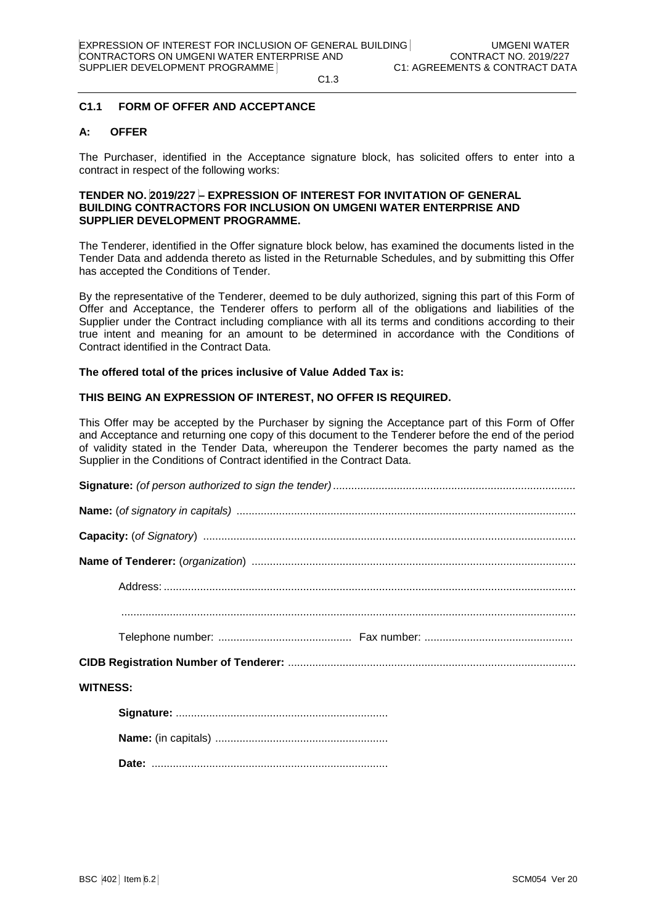### **C1.1 FORM OF OFFER AND ACCEPTANCE**

### **A: OFFER**

The Purchaser, identified in the Acceptance signature block, has solicited offers to enter into a contract in respect of the following works:

# **TENDER NO. 2019/227 – EXPRESSION OF INTEREST FOR INVITATION OF GENERAL BUILDING CONTRACTORS FOR INCLUSION ON UMGENI WATER ENTERPRISE AND SUPPLIER DEVELOPMENT PROGRAMME.**

The Tenderer, identified in the Offer signature block below, has examined the documents listed in the Tender Data and addenda thereto as listed in the Returnable Schedules, and by submitting this Offer has accepted the Conditions of Tender.

By the representative of the Tenderer, deemed to be duly authorized, signing this part of this Form of Offer and Acceptance, the Tenderer offers to perform all of the obligations and liabilities of the Supplier under the Contract including compliance with all its terms and conditions according to their true intent and meaning for an amount to be determined in accordance with the Conditions of Contract identified in the Contract Data.

#### **The offered total of the prices inclusive of Value Added Tax is:**

### **THIS BEING AN EXPRESSION OF INTEREST, NO OFFER IS REQUIRED.**

This Offer may be accepted by the Purchaser by signing the Acceptance part of this Form of Offer and Acceptance and returning one copy of this document to the Tenderer before the end of the period of validity stated in the Tender Data, whereupon the Tenderer becomes the party named as the Supplier in the Conditions of Contract identified in the Contract Data.

| <b>WITNESS:</b> |
|-----------------|
|                 |
|                 |

**Date:** ..............................................................................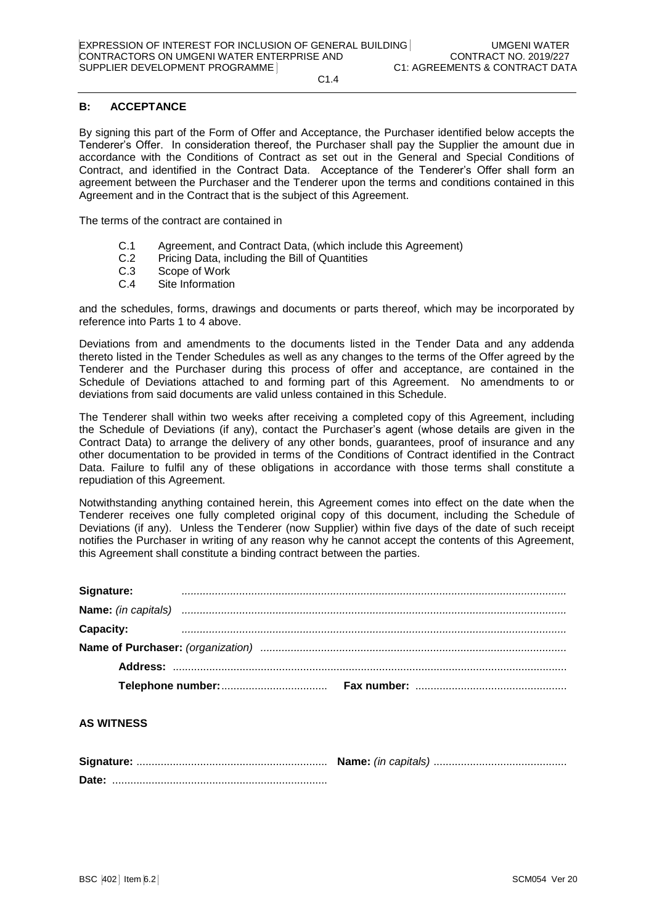# **B: ACCEPTANCE**

By signing this part of the Form of Offer and Acceptance, the Purchaser identified below accepts the Tenderer's Offer. In consideration thereof, the Purchaser shall pay the Supplier the amount due in accordance with the Conditions of Contract as set out in the General and Special Conditions of Contract, and identified in the Contract Data. Acceptance of the Tenderer's Offer shall form an agreement between the Purchaser and the Tenderer upon the terms and conditions contained in this Agreement and in the Contract that is the subject of this Agreement.

The terms of the contract are contained in

- C.1 Agreement, and Contract Data, (which include this Agreement)
- C.2 Pricing Data, including the Bill of Quantities
- C.3 Scope of Work
- C.4 Site Information

and the schedules, forms, drawings and documents or parts thereof, which may be incorporated by reference into Parts 1 to 4 above.

Deviations from and amendments to the documents listed in the Tender Data and any addenda thereto listed in the Tender Schedules as well as any changes to the terms of the Offer agreed by the Tenderer and the Purchaser during this process of offer and acceptance, are contained in the Schedule of Deviations attached to and forming part of this Agreement. No amendments to or deviations from said documents are valid unless contained in this Schedule.

The Tenderer shall within two weeks after receiving a completed copy of this Agreement, including the Schedule of Deviations (if any), contact the Purchaser's agent (whose details are given in the Contract Data) to arrange the delivery of any other bonds, guarantees, proof of insurance and any other documentation to be provided in terms of the Conditions of Contract identified in the Contract Data. Failure to fulfil any of these obligations in accordance with those terms shall constitute a repudiation of this Agreement.

Notwithstanding anything contained herein, this Agreement comes into effect on the date when the Tenderer receives one fully completed original copy of this document, including the Schedule of Deviations (if any). Unless the Tenderer (now Supplier) within five days of the date of such receipt notifies the Purchaser in writing of any reason why he cannot accept the contents of this Agreement, this Agreement shall constitute a binding contract between the parties.

| Signature:       |  |
|------------------|--|
|                  |  |
| <b>Capacity:</b> |  |
|                  |  |
|                  |  |
|                  |  |

### **AS WITNESS**

| Date: |  |
|-------|--|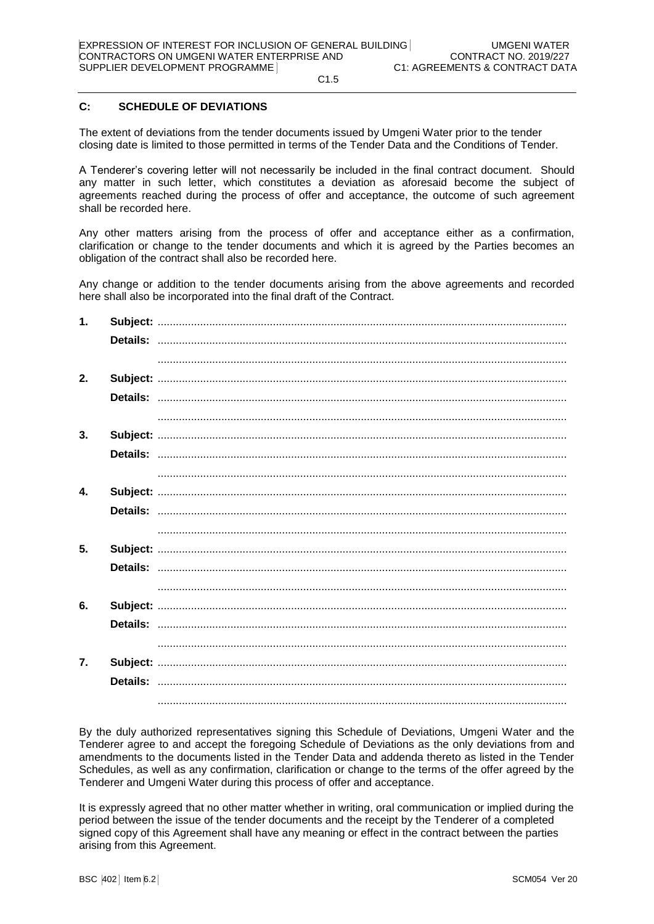# **C: SCHEDULE OF DEVIATIONS**

The extent of deviations from the tender documents issued by Umgeni Water prior to the tender closing date is limited to those permitted in terms of the Tender Data and the Conditions of Tender.

A Tenderer's covering letter will not necessarily be included in the final contract document. Should any matter in such letter, which constitutes a deviation as aforesaid become the subject of agreements reached during the process of offer and acceptance, the outcome of such agreement shall be recorded here.

Any other matters arising from the process of offer and acceptance either as a confirmation, clarification or change to the tender documents and which it is agreed by the Parties becomes an obligation of the contract shall also be recorded here.

Any change or addition to the tender documents arising from the above agreements and recorded here shall also be incorporated into the final draft of the Contract.

| 1.           |  |
|--------------|--|
|              |  |
|              |  |
| 2.           |  |
|              |  |
|              |  |
| 3.           |  |
|              |  |
|              |  |
| $\mathbf{4}$ |  |
|              |  |
|              |  |
| 5.           |  |
|              |  |
|              |  |
| 6.           |  |
|              |  |
|              |  |
| 7.           |  |
|              |  |
|              |  |

By the duly authorized representatives signing this Schedule of Deviations, Umgeni Water and the Tenderer agree to and accept the foregoing Schedule of Deviations as the only deviations from and amendments to the documents listed in the Tender Data and addenda thereto as listed in the Tender Schedules, as well as any confirmation, clarification or change to the terms of the offer agreed by the Tenderer and Umgeni Water during this process of offer and acceptance.

It is expressly agreed that no other matter whether in writing, oral communication or implied during the period between the issue of the tender documents and the receipt by the Tenderer of a completed signed copy of this Agreement shall have any meaning or effect in the contract between the parties arising from this Agreement.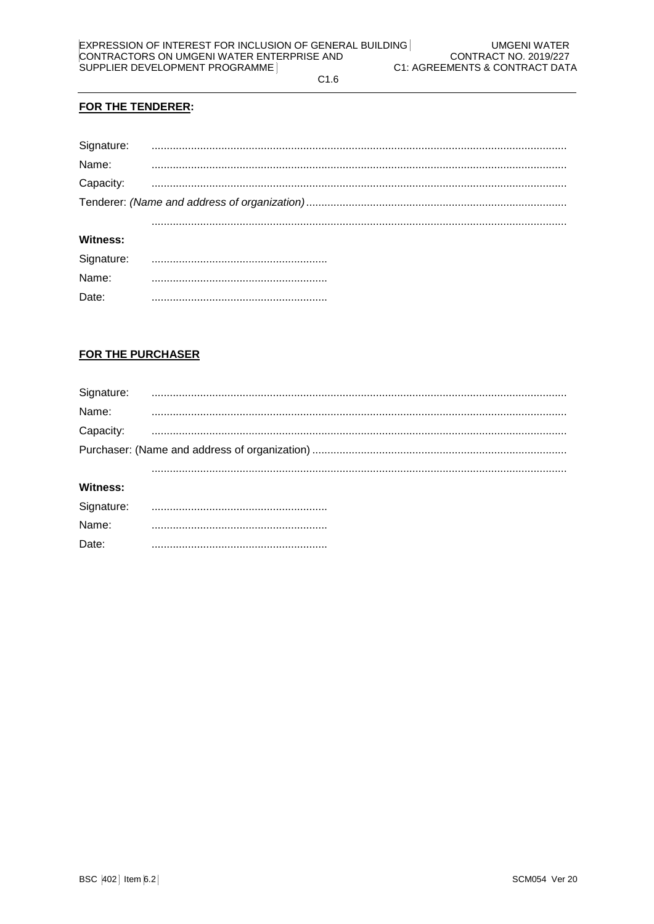$C1.6$ 

# FOR THE TENDERER:

| Signature:          |  |
|---------------------|--|
| Name:               |  |
| Capacity:           |  |
|                     |  |
|                     |  |
| Witness:            |  |
|                     |  |
| Signature:<br>Name: |  |

# **FOR THE PURCHASER**

Date:

| Signature:      |  |
|-----------------|--|
| Name:           |  |
| Capacity:       |  |
|                 |  |
|                 |  |
| <b>Witness:</b> |  |
| Signature:      |  |
| Name:           |  |
| Date:           |  |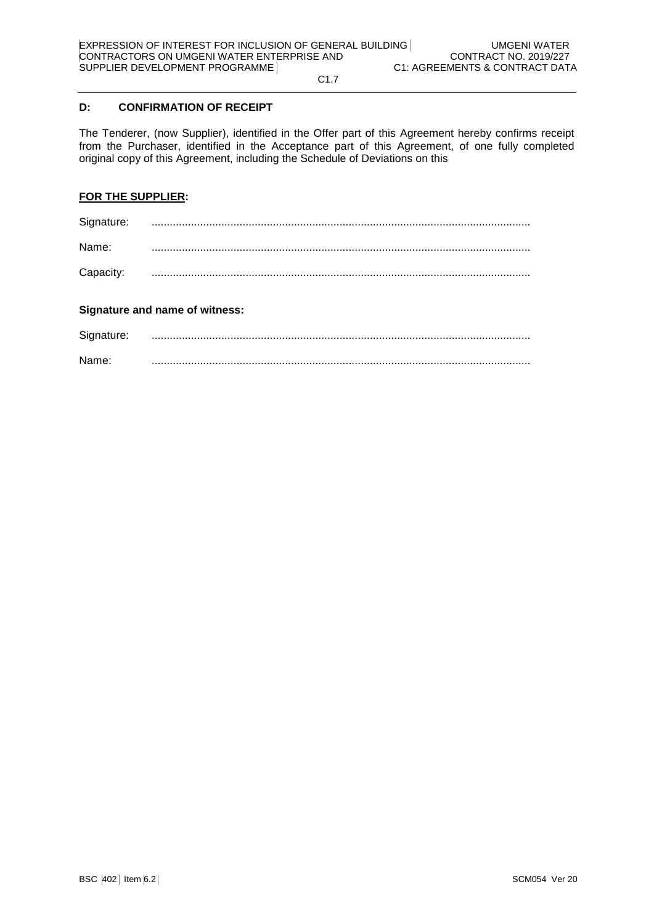# **D: CONFIRMATION OF RECEIPT**

The Tenderer, (now Supplier), identified in the Offer part of this Agreement hereby confirms receipt from the Purchaser, identified in the Acceptance part of this Agreement, of one fully completed original copy of this Agreement, including the Schedule of Deviations on this

# **FOR THE SUPPLIER:**

| Signature: |  |
|------------|--|
| Name:      |  |
| Capacity:  |  |

# **Signature and name of witness:**

| Signature: |  |
|------------|--|
| Name:      |  |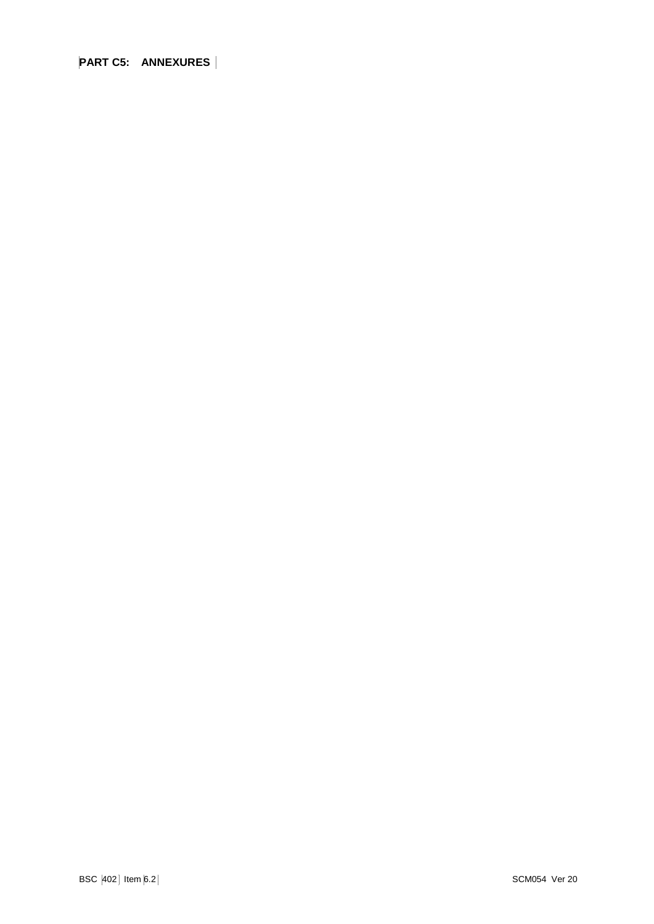**PART C5: ANNEXURES**